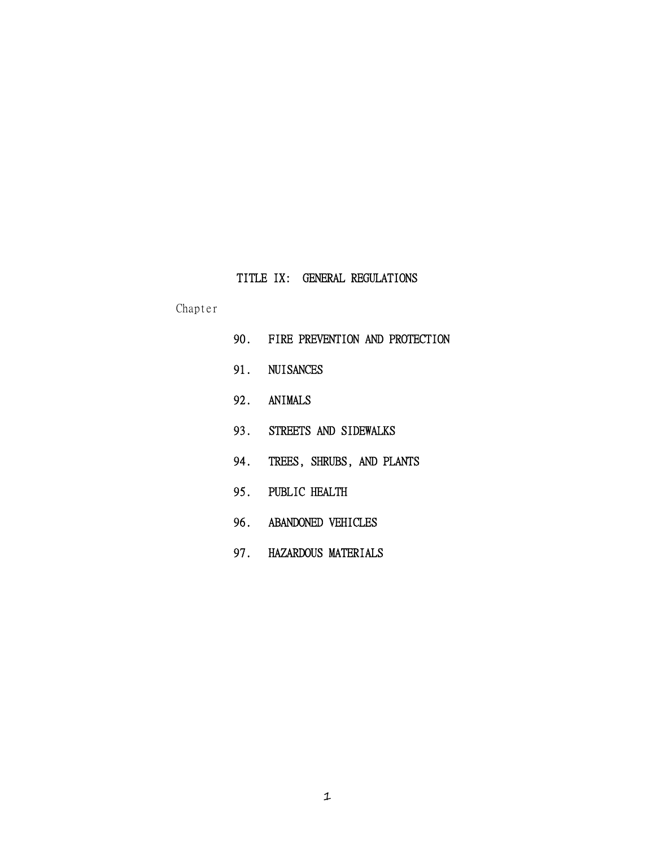# TITLE IX: GENERAL REGULATIONS

Chapter

| 90. | FIRE PREVENTION AND PROTECTION |
|-----|--------------------------------|
|     | 91. NUISANCES                  |
|     | 92. ANIMALS                    |
|     | 93. STREETS AND SIDEWALKS      |
|     | TREES, SHRUBS, AND PLANTS      |
|     | 95. PUBLIC HEALTH              |
|     | 96. ABANDONED VEHICLES         |
|     | 97. HAZARDOUS MATERIALS        |
|     |                                |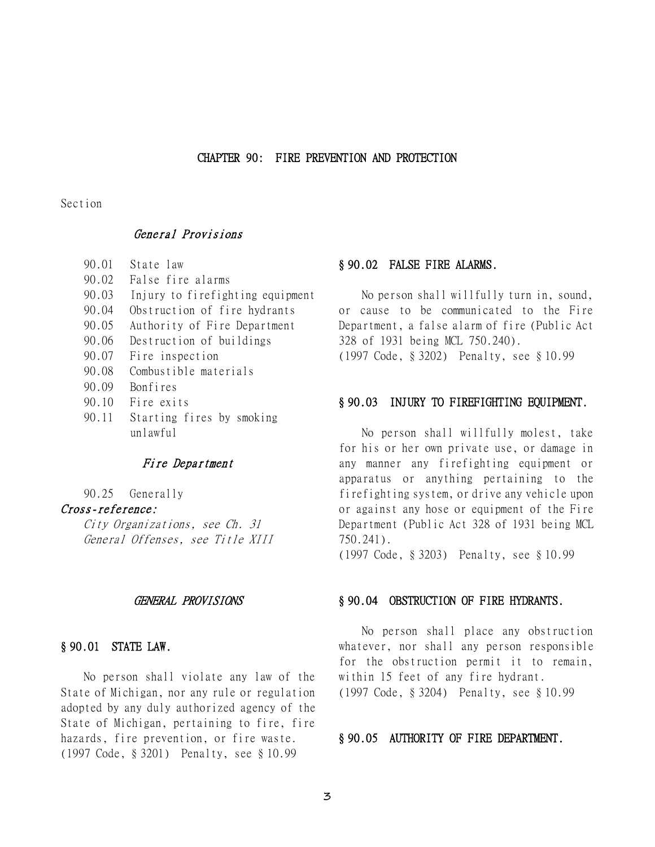#### CHAPTER 90: FIRE PREVENTION AND PROTECTION

Section

# General Provisions

- 90.01 State law
- 90.02 False fire alarms
- 90.03 Injury to firefighting equipment
- 90.04 Obstruction of fire hydrants
- 90.05 Authority of Fire Department
- 90.06 Destruction of buildings
- 90.07 Fire inspection
- 90.08 Combustible materials
- 90.09 Bonfires
- 90.10 Fire exits
- 90.11 Starting fires by smoking unlawful

# Fire Department

# 90.25 Generally

Cross-reference:

City Organizations, see Ch. 31 General Offenses, see Title XIII

## GENERAL PROVISIONS

# § 90.01 STATE LAW.

No person shall violate any law of the State of Michigan, nor any rule or regulation adopted by any duly authorized agency of the State of Michigan, pertaining to fire, fire hazards, fire prevention, or fire waste. (1997 Code, § 3201) Penalty, see § 10.99

# § 90.02 FALSE FIRE ALARMS.

No person shall willfully turn in, sound, or cause to be communicated to the Fire Department, a false alarm of fire (Public Act 328 of 1931 being MCL 750.240).

(1997 Code, § 3202) Penalty, see § 10.99

# § 90.03 INJURY TO FIREFIGHTING EQUIPMENT.

No person shall willfully molest, take for his or her own private use, or damage in any manner any firefighting equipment or apparatus or anything pertaining to the firefighting system, or drive any vehicle upon or against any hose or equipment of the Fire Department (Public Act 328 of 1931 being MCL 750.241).

(1997 Code, § 3203) Penalty, see § 10.99

#### § 90.04 OBSTRUCTION OF FIRE HYDRANTS.

No person shall place any obstruction whatever, nor shall any person responsible for the obstruction permit it to remain, within 15 feet of any fire hydrant. (1997 Code, § 3204) Penalty, see § 10.99

# § 90.05 AUTHORITY OF FIRE DEPARTMENT.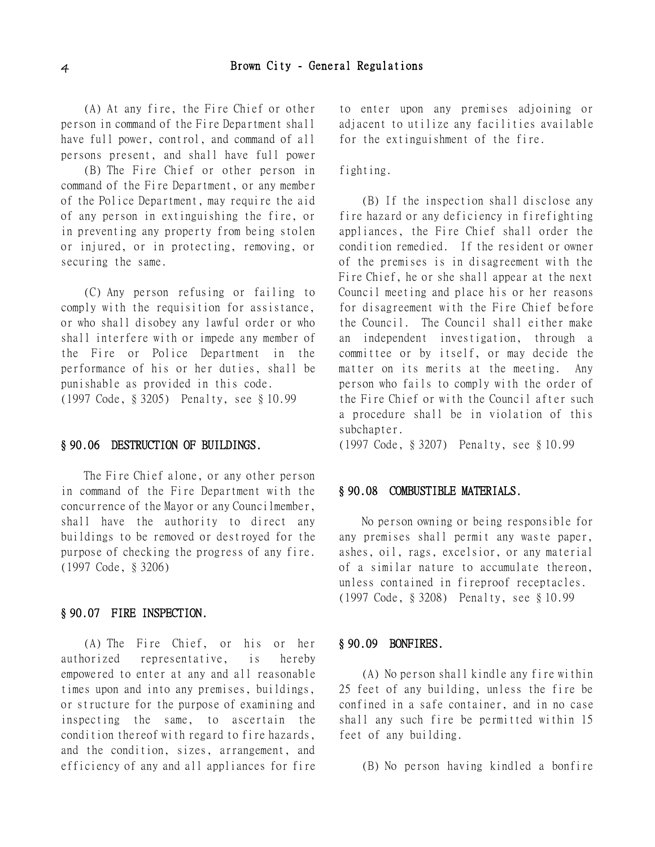(A) At any fire, the Fire Chief or other person in command of the Fire Department shall have full power, control, and command of all persons present, and shall have full power

(B) The Fire Chief or other person in command of the Fire Department, or any member of the Police Department, may require the aid of any person in extinguishing the fire, or in preventing any property from being stolen or injured, or in protecting, removing, or securing the same.

(C) Any person refusing or failing to comply with the requisition for assistance, or who shall disobey any lawful order or who shall interfere with or impede any member of the Fire or Police Department in the performance of his or her duties, shall be punishable as provided in this code. (1997 Code, § 3205) Penalty, see § 10.99

#### § 90.06 DESTRUCTION OF BUILDINGS.

The Fire Chief alone, or any other person in command of the Fire Department with the concurrence of the Mayor or any Councilmember, shall have the authority to direct any buildings to be removed or destroyed for the purpose of checking the progress of any fire. (1997 Code, § 3206)

## § 90.07 FIRE INSPECTION.

(A) The Fire Chief, or his or her authorized representative, is hereby empowered to enter at any and all reasonable times upon and into any premises, buildings, or structure for the purpose of examining and inspecting the same, to ascertain the condition thereof with regard to fire hazards, and the condition, sizes, arrangement, and efficiency of any and all appliances for fire

to enter upon any premises adjoining or adjacent to utilize any facilities available for the extinguishment of the fire.

fighting.

(B) If the inspection shall disclose any fire hazard or any deficiency in firefighting appliances, the Fire Chief shall order the condition remedied. If the resident or owner of the premises is in disagreement with the Fire Chief, he or she shall appear at the next Council meeting and place his or her reasons for disagreement with the Fire Chief before the Council. The Council shall either make an independent investigation, through a committee or by itself, or may decide the matter on its merits at the meeting. Any person who fails to comply with the order of the Fire Chief or with the Council after such a procedure shall be in violation of this subchapter.

(1997 Code, § 3207) Penalty, see § 10.99

# § 90.08 COMBUSTIBLE MATERIALS.

No person owning or being responsible for any premises shall permit any waste paper, ashes, oil, rags, excelsior, or any material of a similar nature to accumulate thereon, unless contained in fireproof receptacles. (1997 Code, § 3208) Penalty, see § 10.99

#### § 90.09 BONFIRES.

(A) No person shall kindle any fire within 25 feet of any building, unless the fire be confined in a safe container, and in no case shall any such fire be permitted within 15 feet of any building.

(B) No person having kindled a bonfire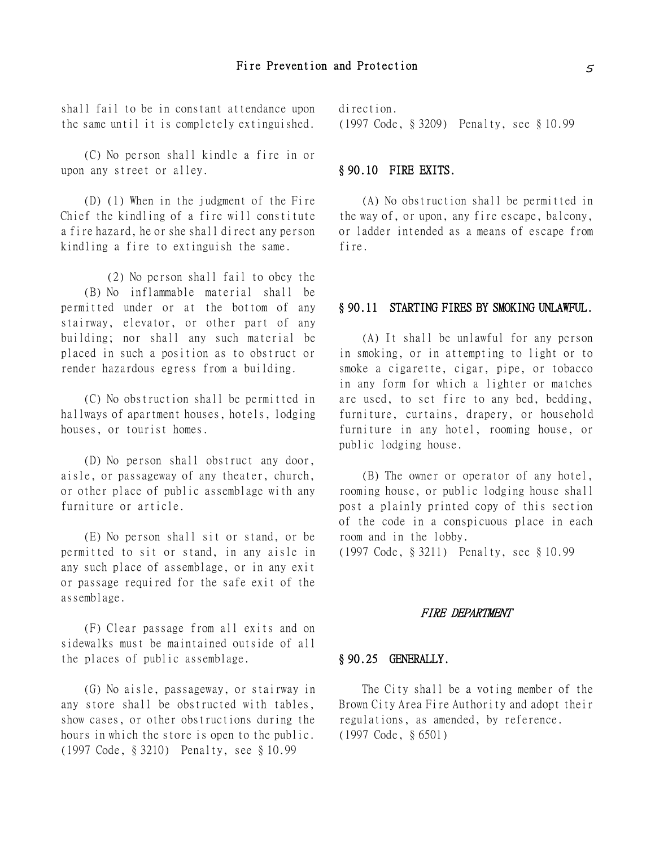shall fail to be in constant attendance upon the same until it is completely extinguished.

(C) No person shall kindle a fire in or upon any street or alley.

(D) (1) When in the judgment of the Fire Chief the kindling of a fire will constitute a fire hazard, he or she shall direct any person kindling a fire to extinguish the same.

(2) No person shall fail to obey the (B) No inflammable material shall be permitted under or at the bottom of any stairway, elevator, or other part of any building; nor shall any such material be placed in such a position as to obstruct or render hazardous egress from a building.

(C) No obstruction shall be permitted in hallways of apartment houses, hotels, lodging houses, or tourist homes.

(D) No person shall obstruct any door, aisle, or passageway of any theater, church, or other place of public assemblage with any furniture or article.

(E) No person shall sit or stand, or be permitted to sit or stand, in any aisle in any such place of assemblage, or in any exit or passage required for the safe exit of the assemblage.

(F) Clear passage from all exits and on sidewalks must be maintained outside of all the places of public assemblage.

(G) No aisle, passageway, or stairway in any store shall be obstructed with tables, show cases, or other obstructions during the hours in which the store is open to the public. (1997 Code, § 3210) Penalty, see § 10.99

direction. (1997 Code, § 3209) Penalty, see § 10.99

## § 90.10 FIRE EXITS.

(A) No obstruction shall be permitted in the way of, or upon, any fire escape, balcony, or ladder intended as a means of escape from fire.

# § 90.11 STARTING FIRES BY SMOKING UNLAWFUL.

(A) It shall be unlawful for any person in smoking, or in attempting to light or to smoke a cigarette, cigar, pipe, or tobacco in any form for which a lighter or matches are used, to set fire to any bed, bedding, furniture, curtains, drapery, or household furniture in any hotel, rooming house, or public lodging house.

(B) The owner or operator of any hotel, rooming house, or public lodging house shall post a plainly printed copy of this section of the code in a conspicuous place in each room and in the lobby.

(1997 Code, § 3211) Penalty, see § 10.99

## FIRE DEPARTMENT

#### § 90.25 GENERALLY.

The City shall be a voting member of the Brown City Area Fire Authority and adopt their regulations, as amended, by reference. (1997 Code, § 6501)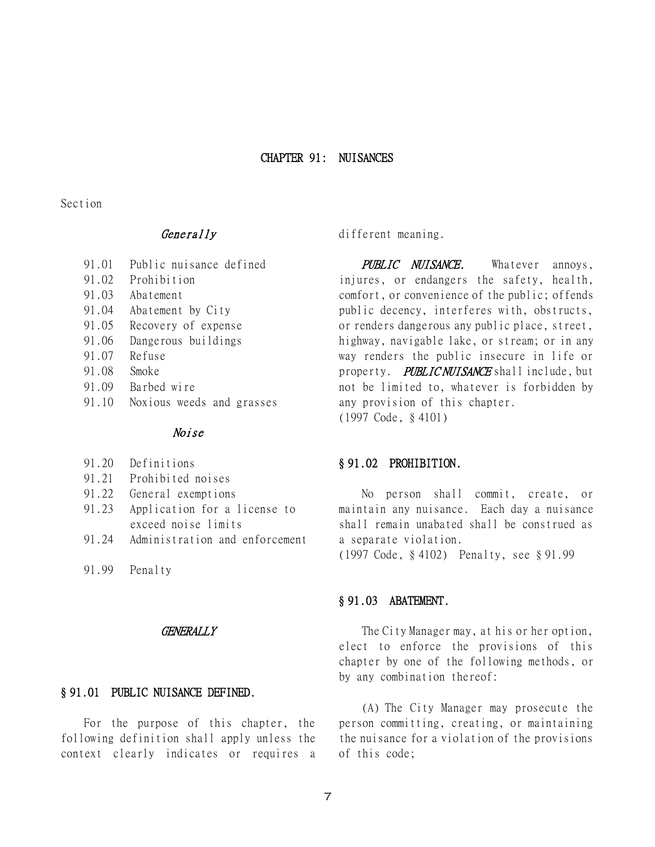#### CHAPTER 91: NUISANCES

Section

# Generally

| 91.01<br>Public nuisance defined |
|----------------------------------|
|----------------------------------|

- 91.02 Prohibition
- 91.03 Abatement
- 91.04 Abatement by City
- 91.05 Recovery of expense
- 91.06 Dangerous buildings
- 91.07 Refuse
- 91.08 Smoke
- 91.09 Barbed wire
- 91.10 Noxious weeds and grasses

# Noise

- 91.20 Definitions
- 91.21 Prohibited noises
- 91.22 General exemptions
- 91.23 Application for a license to exceed noise limits
- 91.24 Administration and enforcement
- 91.99 Penalty

#### **GENERALLY**

#### § 91.01 PUBLIC NUISANCE DEFINED.

For the purpose of this chapter, the following definition shall apply unless the context clearly indicates or requires a different meaning.

PUBLIC NUISANCE. Whatever annoys, injures, or endangers the safety, health, comfort, or convenience of the public; offends public decency, interferes with, obstructs, or renders dangerous any public place, street, highway, navigable lake, or stream; or in any way renders the public insecure in life or property. PUBLIC NUISANCE shall include, but not be limited to, whatever is forbidden by any provision of this chapter. (1997 Code, § 4101)

#### § 91.02 PROHIBITION.

No person shall commit, create, or maintain any nuisance. Each day a nuisance shall remain unabated shall be construed as a separate violation.

(1997 Code, § 4102) Penalty, see § 91.99

## § 91.03 ABATEMENT.

The City Manager may, at his or her option, elect to enforce the provisions of this chapter by one of the following methods, or by any combination thereof:

(A) The City Manager may prosecute the person committing, creating, or maintaining the nuisance for a violation of the provisions of this code;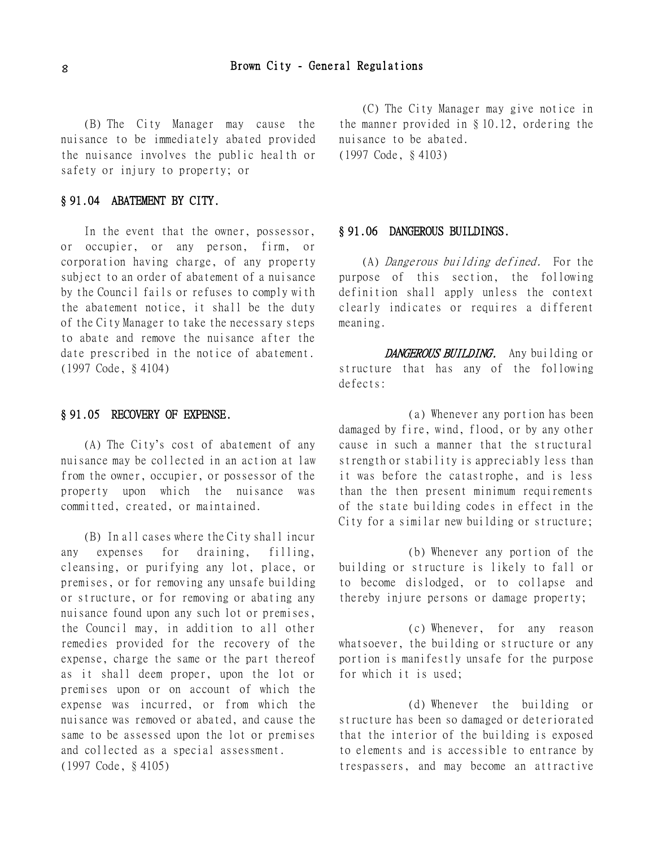(B) The City Manager may cause the nuisance to be immediately abated provided the nuisance involves the public health or safety or injury to property; or

# § 91.04 ABATEMENT BY CITY.

In the event that the owner, possessor, or occupier, or any person, firm, or corporation having charge, of any property subject to an order of abatement of a nuisance by the Council fails or refuses to comply with the abatement notice, it shall be the duty of the City Manager to take the necessary steps to abate and remove the nuisance after the date prescribed in the notice of abatement. (1997 Code, § 4104)

#### § 91.05 RECOVERY OF EXPENSE.

(A) The City's cost of abatement of any nuisance may be collected in an action at law from the owner, occupier, or possessor of the property upon which the nuisance was committed, created, or maintained.

(B) In all cases where the City shall incur any expenses for draining, filling, cleansing, or purifying any lot, place, or premises, or for removing any unsafe building or structure, or for removing or abating any nuisance found upon any such lot or premises, the Council may, in addition to all other remedies provided for the recovery of the expense, charge the same or the part thereof as it shall deem proper, upon the lot or premises upon or on account of which the expense was incurred, or from which the nuisance was removed or abated, and cause the same to be assessed upon the lot or premises and collected as a special assessment. (1997 Code, § 4105)

(C) The City Manager may give notice in the manner provided in § 10.12, ordering the nuisance to be abated. (1997 Code, § 4103)

## § 91.06 DANGEROUS BUILDINGS.

(A) Dangerous building defined. For the purpose of this section, the following definition shall apply unless the context clearly indicates or requires a different meaning.

DANGEROUS BUILDING. Any building or structure that has any of the following defects:

(a) Whenever any portion has been damaged by fire, wind, flood, or by any other cause in such a manner that the structural strength or stability is appreciably less than it was before the catastrophe, and is less than the then present minimum requirements of the state building codes in effect in the City for a similar new building or structure;

(b) Whenever any portion of the building or structure is likely to fall or to become dislodged, or to collapse and thereby injure persons or damage property;

(c) Whenever, for any reason whatsoever, the building or structure or any portion is manifestly unsafe for the purpose for which it is used;

(d) Whenever the building or structure has been so damaged or deteriorated that the interior of the building is exposed to elements and is accessible to entrance by trespassers, and may become an attractive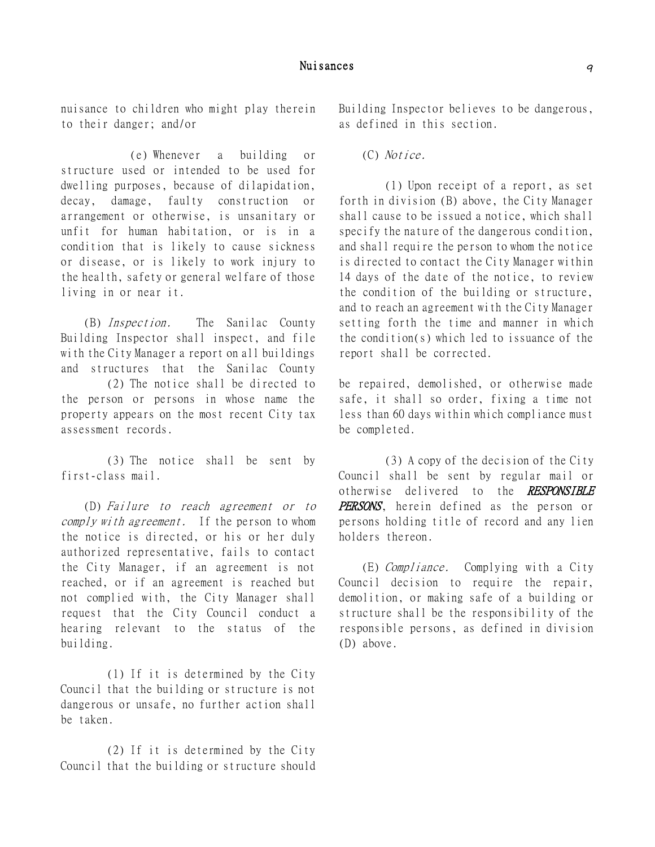nuisance to children who might play therein to their danger; and/or

(e) Whenever a building or structure used or intended to be used for dwelling purposes, because of dilapidation, decay, damage, faulty construction or arrangement or otherwise, is unsanitary or unfit for human habitation, or is in a condition that is likely to cause sickness or disease, or is likely to work injury to the health, safety or general welfare of those living in or near it.

(B) Inspection. The Sanilac County Building Inspector shall inspect, and file with the City Manager a report on all buildings and structures that the Sanilac County (2) The notice shall be directed to

the person or persons in whose name the property appears on the most recent City tax assessment records.

(3) The notice shall be sent by first-class mail.

(D) Failure to reach agreement or to comply with agreement. If the person to whom the notice is directed, or his or her duly authorized representative, fails to contact the City Manager, if an agreement is not reached, or if an agreement is reached but not complied with, the City Manager shall request that the City Council conduct a hearing relevant to the status of the building.

(1) If it is determined by the City Council that the building or structure is not dangerous or unsafe, no further action shall be taken.

(2) If it is determined by the City Council that the building or structure should Building Inspector believes to be dangerous, as defined in this section.

(C) Notice.

(1) Upon receipt of a report, as set forth in division (B) above, the City Manager shall cause to be issued a notice, which shall specify the nature of the dangerous condition, and shall require the person to whom the notice is directed to contact the City Manager within 14 days of the date of the notice, to review the condition of the building or structure, and to reach an agreement with the City Manager setting forth the time and manner in which the condition(s) which led to issuance of the report shall be corrected.

be repaired, demolished, or otherwise made safe, it shall so order, fixing a time not less than 60 days within which compliance must be completed.

(3) A copy of the decision of the City Council shall be sent by regular mail or otherwise delivered to the **RESPONSIBLE** PERSONS, herein defined as the person or persons holding title of record and any lien holders thereon.

(E) Compliance. Complying with a City Council decision to require the repair, demolition, or making safe of a building or structure shall be the responsibility of the responsible persons, as defined in division (D) above.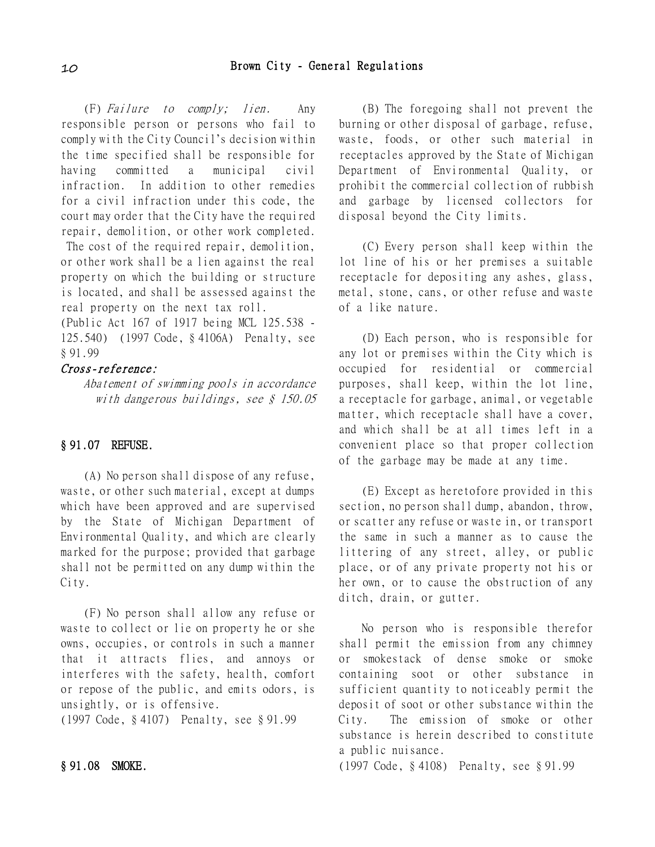(F) Failure to comply; lien. Any responsible person or persons who fail to comply with the City Council's decision within the time specified shall be responsible for having committed a municipal civil infraction. In addition to other remedies for a civil infraction under this code, the court may order that the City have the required repair, demolition, or other work completed.

The cost of the required repair, demolition, or other work shall be a lien against the real property on which the building or structure is located, and shall be assessed against the real property on the next tax roll.

(Public Act 167 of 1917 being MCL 125.538 - 125.540) (1997 Code, § 4106A) Penalty, see § 91.99

# Cross-reference:

Abatement of swimming pools in accordance with dangerous buildings, see § 150.05

# § 91.07 REFUSE.

(A) No person shall dispose of any refuse, waste, or other such material, except at dumps which have been approved and are supervised by the State of Michigan Department of Environmental Quality, and which are clearly marked for the purpose; provided that garbage shall not be permitted on any dump within the City.

(F) No person shall allow any refuse or waste to collect or lie on property he or she owns, occupies, or controls in such a manner that it attracts flies, and annoys or interferes with the safety, health, comfort or repose of the public, and emits odors, is unsightly, or is offensive.

(1997 Code, § 4107) Penalty, see § 91.99

# § 91.08 SMOKE.

(B) The foregoing shall not prevent the burning or other disposal of garbage, refuse, waste, foods, or other such material in receptacles approved by the State of Michigan Department of Environmental Quality, or prohibit the commercial collection of rubbish and garbage by licensed collectors for disposal beyond the City limits.

(C) Every person shall keep within the lot line of his or her premises a suitable receptacle for depositing any ashes, glass, metal, stone, cans, or other refuse and waste of a like nature.

(D) Each person, who is responsible for any lot or premises within the City which is occupied for residential or commercial purposes, shall keep, within the lot line, a receptacle for garbage, animal, or vegetable matter, which receptacle shall have a cover, and which shall be at all times left in a convenient place so that proper collection of the garbage may be made at any time.

(E) Except as heretofore provided in this section, no person shall dump, abandon, throw, or scatter any refuse or waste in, or transport the same in such a manner as to cause the littering of any street, alley, or public place, or of any private property not his or her own, or to cause the obstruction of any ditch, drain, or gutter.

No person who is responsible therefor shall permit the emission from any chimney or smokestack of dense smoke or smoke containing soot or other substance in sufficient quantity to noticeably permit the deposit of soot or other substance within the City. The emission of smoke or other substance is herein described to constitute a public nuisance.

(1997 Code, § 4108) Penalty, see § 91.99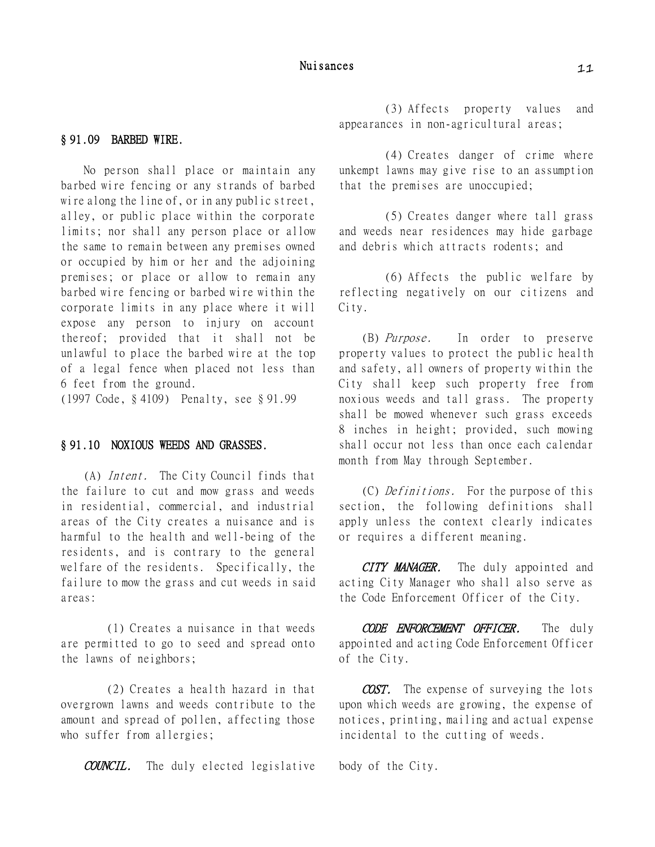(3) Affects property values and appearances in non-agricultural areas;

(4) Creates danger of crime where unkempt lawns may give rise to an assumption that the premises are unoccupied;

(5) Creates danger where tall grass and weeds near residences may hide garbage and debris which attracts rodents; and

(6) Affects the public welfare by reflecting negatively on our citizens and City.

(B) Purpose. In order to preserve property values to protect the public health and safety, all owners of property within the City shall keep such property free from noxious weeds and tall grass. The property shall be mowed whenever such grass exceeds 8 inches in height; provided, such mowing shall occur not less than once each calendar month from May through September.

(C) Definitions. For the purpose of this section, the following definitions shall apply unless the context clearly indicates or requires a different meaning.

CITY MANAGER. The duly appointed and acting City Manager who shall also serve as the Code Enforcement Officer of the City.

CODE ENFORCEMENT OFFICER. The duly appointed and acting Code Enforcement Officer of the City.

COST. The expense of surveying the lots upon which weeds are growing, the expense of notices, printing, mailing and actual expense incidental to the cutting of weeds.

# § 91.09 BARBED WIRE.

No person shall place or maintain any barbed wire fencing or any strands of barbed wire along the line of, or in any public street, alley, or public place within the corporate limits; nor shall any person place or allow the same to remain between any premises owned or occupied by him or her and the adjoining premises; or place or allow to remain any barbed wire fencing or barbed wire within the corporate limits in any place where it will expose any person to injury on account thereof; provided that it shall not be unlawful to place the barbed wire at the top of a legal fence when placed not less than 6 feet from the ground.

(1997 Code, § 4109) Penalty, see § 91.99

# § 91.10 NOXIOUS WEEDS AND GRASSES.

(A) Intent. The City Council finds that the failure to cut and mow grass and weeds in residential, commercial, and industrial areas of the City creates a nuisance and is harmful to the health and well-being of the residents, and is contrary to the general welfare of the residents. Specifically, the failure to mow the grass and cut weeds in said areas:

(1) Creates a nuisance in that weeds are permitted to go to seed and spread onto the lawns of neighbors;

(2) Creates a health hazard in that overgrown lawns and weeds contribute to the amount and spread of pollen, affecting those who suffer from allergies;

COUNCIL. The duly elected legislative body of the City.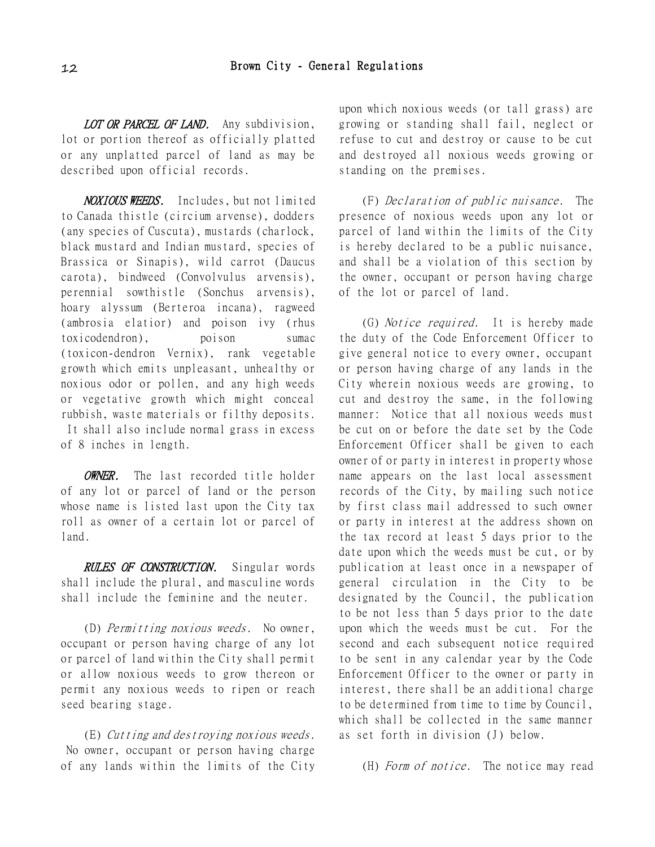LOT OR PARCEL OF LAND. Any subdivision, lot or portion thereof as officially platted or any unplatted parcel of land as may be described upon official records.

NOXIOUS WEEDS. Includes, but not limited to Canada thistle (circium arvense), dodders (any species of Cuscuta), mustards (charlock, black mustard and Indian mustard, species of Brassica or Sinapis), wild carrot (Daucus carota), bindweed (Convolvulus arvensis), perennial sowthistle (Sonchus arvensis), hoary alyssum (Berteroa incana), ragweed (ambrosia elatior) and poison ivy (rhus toxicodendron), poison sumac (toxicon-dendron Vernix), rank vegetable growth which emits unpleasant, unhealthy or noxious odor or pollen, and any high weeds or vegetative growth which might conceal rubbish, waste materials or filthy deposits. It shall also include normal grass in excess

of 8 inches in length.

**OWNER.** The last recorded title holder of any lot or parcel of land or the person whose name is listed last upon the City tax roll as owner of a certain lot or parcel of land.

RULES OF CONSTRUCTION. Singular words shall include the plural, and masculine words shall include the feminine and the neuter.

(D) Permitting noxious weeds. No owner, occupant or person having charge of any lot or parcel of land within the City shall permit or allow noxious weeds to grow thereon or permit any noxious weeds to ripen or reach seed bearing stage.

(E) Cutting and destroying noxious weeds. No owner, occupant or person having charge of any lands within the limits of the City

upon which noxious weeds (or tall grass) are growing or standing shall fail, neglect or refuse to cut and destroy or cause to be cut and destroyed all noxious weeds growing or standing on the premises.

(F) Declaration of public nuisance. The presence of noxious weeds upon any lot or parcel of land within the limits of the City is hereby declared to be a public nuisance, and shall be a violation of this section by the owner, occupant or person having charge of the lot or parcel of land.

(G) Notice required. It is hereby made the duty of the Code Enforcement Officer to give general notice to every owner, occupant or person having charge of any lands in the City wherein noxious weeds are growing, to cut and destroy the same, in the following manner: Notice that all noxious weeds must be cut on or before the date set by the Code Enforcement Officer shall be given to each owner of or party in interest in property whose name appears on the last local assessment records of the City, by mailing such notice by first class mail addressed to such owner or party in interest at the address shown on the tax record at least 5 days prior to the date upon which the weeds must be cut, or by publication at least once in a newspaper of general circulation in the City to be designated by the Council, the publication to be not less than 5 days prior to the date upon which the weeds must be cut. For the second and each subsequent notice required to be sent in any calendar year by the Code Enforcement Officer to the owner or party in interest, there shall be an additional charge to be determined from time to time by Council, which shall be collected in the same manner as set forth in division (J) below.

(H) Form of notice. The notice may read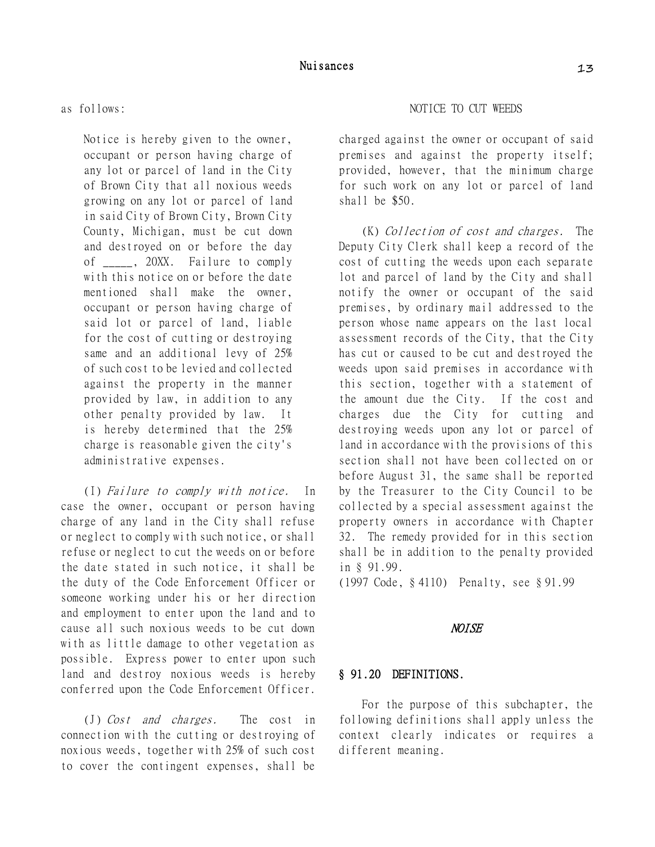Notice is hereby given to the owner, occupant or person having charge of any lot or parcel of land in the City of Brown City that all noxious weeds growing on any lot or parcel of land in said City of Brown City, Brown City County, Michigan, must be cut down and destroyed on or before the day of , 20XX. Failure to comply with this notice on or before the date mentioned shall make the owner, occupant or person having charge of said lot or parcel of land, liable for the cost of cutting or destroying same and an additional levy of 25% of such cost to be levied and collected against the property in the manner provided by law, in addition to any other penalty provided by law. It is hereby determined that the 25% charge is reasonable given the city's administrative expenses.

(I) Failure to comply with notice. In case the owner, occupant or person having charge of any land in the City shall refuse or neglect to comply with such notice, or shall refuse or neglect to cut the weeds on or before the date stated in such notice, it shall be the duty of the Code Enforcement Officer or someone working under his or her direction and employment to enter upon the land and to cause all such noxious weeds to be cut down with as little damage to other vegetation as possible. Express power to enter upon such land and destroy noxious weeds is hereby conferred upon the Code Enforcement Officer.

(J) Cost and charges. The cost in connection with the cutting or destroying of noxious weeds, together with 25% of such cost to cover the contingent expenses, shall be

## as follows: NOTICE TO CUT WEEDS

charged against the owner or occupant of said premises and against the property itself; provided, however, that the minimum charge for such work on any lot or parcel of land shall be \$50.

(K) Collection of cost and charges. The Deputy City Clerk shall keep a record of the cost of cutting the weeds upon each separate lot and parcel of land by the City and shall notify the owner or occupant of the said premises, by ordinary mail addressed to the person whose name appears on the last local assessment records of the City, that the City has cut or caused to be cut and destroyed the weeds upon said premises in accordance with this section, together with a statement of the amount due the City. If the cost and charges due the City for cutting and destroying weeds upon any lot or parcel of land in accordance with the provisions of this section shall not have been collected on or before August 31, the same shall be reported by the Treasurer to the City Council to be collected by a special assessment against the property owners in accordance with Chapter 32. The remedy provided for in this section shall be in addition to the penalty provided in § 91.99.

(1997 Code, § 4110) Penalty, see § 91.99

#### NOISE

## § 91.20 DEFINITIONS.

For the purpose of this subchapter, the following definitions shall apply unless the context clearly indicates or requires a different meaning.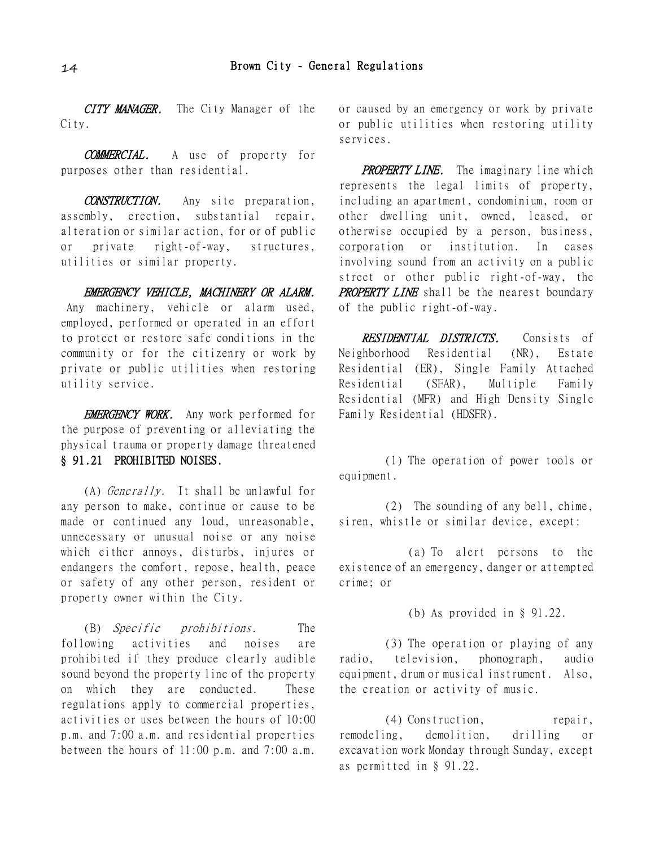CITY MANAGER. The City Manager of the City.

COMMERCIAL. A use of property for purposes other than residential.

CONSTRUCTION. Any site preparation, assembly, erection, substantial repair, alteration or similar action, for or of public or private right-of-way, structures, utilities or similar property.

EMERGENCY VEHICLE, MACHINERY OR ALARM. Any machinery, vehicle or alarm used, employed, performed or operated in an effort to protect or restore safe conditions in the community or for the citizenry or work by private or public utilities when restoring utility service.

EMERGENCY WORK. Any work performed for the purpose of preventing or alleviating the physical trauma or property damage threatened § 91.21 PROHIBITED NOISES.

(A) Generally. It shall be unlawful for any person to make, continue or cause to be made or continued any loud, unreasonable, unnecessary or unusual noise or any noise which either annoys, disturbs, injures or endangers the comfort, repose, health, peace or safety of any other person, resident or property owner within the City.

(B) Specific prohibitions. The following activities and noises are prohibited if they produce clearly audible sound beyond the property line of the property on which they are conducted. These regulations apply to commercial properties, activities or uses between the hours of 10:00 p.m. and 7:00 a.m. and residential properties between the hours of 11:00 p.m. and 7:00 a.m.

or caused by an emergency or work by private or public utilities when restoring utility services.

PROPERTY LINE. The imaginary line which represents the legal limits of property, including an apartment, condominium, room or other dwelling unit, owned, leased, or otherwise occupied by a person, business, corporation or institution. In cases involving sound from an activity on a public street or other public right-of-way, the **PROPERTY LINE** shall be the nearest boundary of the public right-of-way.

RESIDENTIAL DISTRICTS. Consists of Neighborhood Residential (NR), Estate Residential (ER), Single Family Attached Residential (SFAR), Multiple Family Residential (MFR) and High Density Single Family Residential (HDSFR).

(1) The operation of power tools or equipment.

(2) The sounding of any bell, chime, siren, whistle or similar device, except:

(a) To alert persons to the existence of an emergency, danger or attempted crime; or

(b) As provided in § 91.22.

(3) The operation or playing of any radio, television, phonograph, audio equipment, drum or musical instrument. Also, the creation or activity of music.

(4) Construction, repair, remodeling, demolition, drilling or excavation work Monday through Sunday, except as permitted in § 91.22.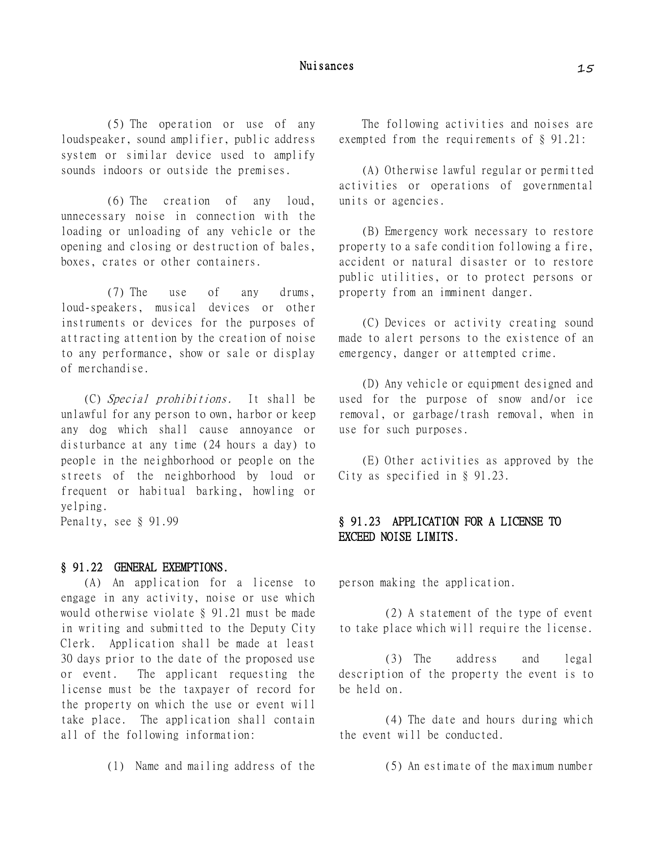(5) The operation or use of any loudspeaker, sound amplifier, public address system or similar device used to amplify sounds indoors or outside the premises.

(6) The creation of any loud, unnecessary noise in connection with the loading or unloading of any vehicle or the opening and closing or destruction of bales, boxes, crates or other containers.

(7) The use of any drums, loud-speakers, musical devices or other instruments or devices for the purposes of attracting attention by the creation of noise to any performance, show or sale or display of merchandise.

(C) Special prohibitions. It shall be unlawful for any person to own, harbor or keep any dog which shall cause annoyance or disturbance at any time (24 hours a day) to people in the neighborhood or people on the streets of the neighborhood by loud or frequent or habitual barking, howling or yelping. Penalty, see § 91.99

# § 91.22 GENERAL EXEMPTIONS.

(A) An application for a license to engage in any activity, noise or use which would otherwise violate § 91.21 must be made in writing and submitted to the Deputy City Clerk. Application shall be made at least 30 days prior to the date of the proposed use or event. The applicant requesting the license must be the taxpayer of record for the property on which the use or event will take place. The application shall contain all of the following information:

(1) Name and mailing address of the

The following activities and noises are exempted from the requirements of § 91.21:

(A) Otherwise lawful regular or permitted activities or operations of governmental units or agencies.

(B) Emergency work necessary to restore property to a safe condition following a fire, accident or natural disaster or to restore public utilities, or to protect persons or property from an imminent danger.

(C) Devices or activity creating sound made to alert persons to the existence of an emergency, danger or attempted crime.

(D) Any vehicle or equipment designed and used for the purpose of snow and/or ice removal, or garbage/trash removal, when in use for such purposes.

(E) Other activities as approved by the City as specified in § 91.23.

# § 91.23 APPLICATION FOR A LICENSE TO EXCEED NOISE LIMITS.

person making the application.

(2) A statement of the type of event to take place which will require the license.

(3) The address and legal description of the property the event is to be held on.

(4) The date and hours during which the event will be conducted.

(5) An estimate of the maximum number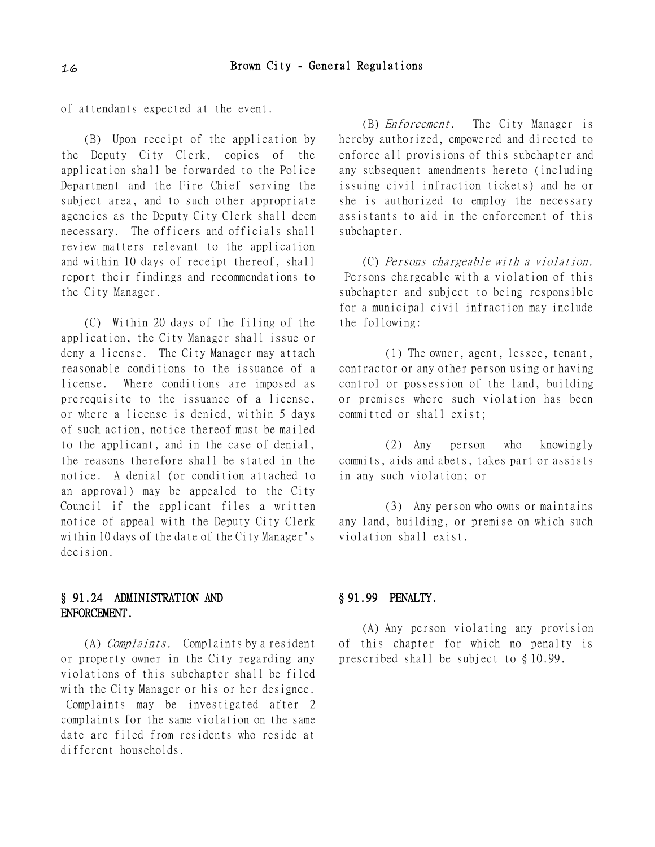of attendants expected at the event.

(B) Upon receipt of the application by the Deputy City Clerk, copies of the application shall be forwarded to the Police Department and the Fire Chief serving the subject area, and to such other appropriate agencies as the Deputy City Clerk shall deem necessary. The officers and officials shall review matters relevant to the application and within 10 days of receipt thereof, shall report their findings and recommendations to the City Manager.

(C) Within 20 days of the filing of the application, the City Manager shall issue or deny a license. The City Manager may attach reasonable conditions to the issuance of a license. Where conditions are imposed as prerequisite to the issuance of a license, or where a license is denied, within 5 days of such action, notice thereof must be mailed to the applicant, and in the case of denial, the reasons therefore shall be stated in the notice. A denial (or condition attached to an approval) may be appealed to the City Council if the applicant files a written notice of appeal with the Deputy City Clerk within 10 days of the date of the City Manager's decision.

# § 91.24 ADMINISTRATION AND ENFORCEMENT.

(A) Complaints. Complaints by a resident or property owner in the City regarding any violations of this subchapter shall be filed with the City Manager or his or her designee. Complaints may be investigated after 2 complaints for the same violation on the same date are filed from residents who reside at different households.

(B) Enforcement. The City Manager is hereby authorized, empowered and directed to enforce all provisions of this subchapter and any subsequent amendments hereto (including issuing civil infraction tickets) and he or she is authorized to employ the necessary assistants to aid in the enforcement of this subchapter.

(C) Persons chargeable with a violation. Persons chargeable with a violation of this subchapter and subject to being responsible for a municipal civil infraction may include the following:

(1) The owner, agent, lessee, tenant, contractor or any other person using or having control or possession of the land, building or premises where such violation has been committed or shall exist;

(2) Any person who knowingly commits, aids and abets, takes part or assists in any such violation; or

(3) Any person who owns or maintains any land, building, or premise on which such violation shall exist.

#### § 91.99 PENALTY.

(A) Any person violating any provision of this chapter for which no penalty is prescribed shall be subject to § 10.99.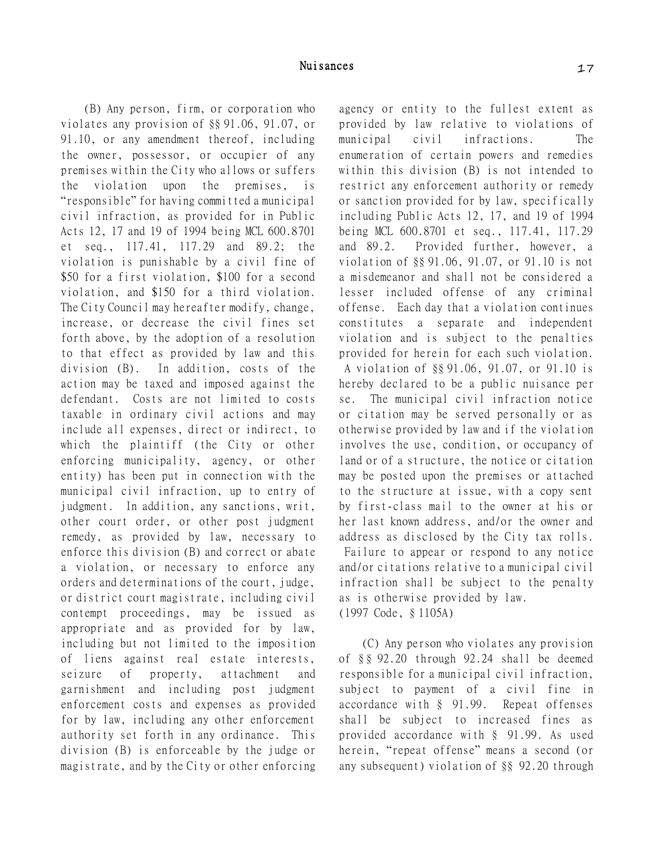# Nuisances 27

(B) Any person, firm, or corporation who violates any provision of §§ 91.06, 91.07, or 91.10, or any amendment thereof, including the owner, possessor, or occupier of any premises within the City who allows or suffers the violation upon the premises, is "responsible" for having committed a municipal civil infraction, as provided for in Public Acts 12, 17 and 19 of 1994 being MCL 600.8701 et seq., 117.41, 117.29 and 89.2; the violation is punishable by a civil fine of \$50 for a first violation, \$100 for a second violation, and \$150 for a third violation. The City Council may hereafter modify, change, increase, or decrease the civil fines set forth above, by the adoption of a resolution to that effect as provided by law and this division (B). In addition, costs of the action may be taxed and imposed against the defendant. Costs are not limited to costs taxable in ordinary civil actions and may include all expenses, direct or indirect, to which the plaintiff (the City or other enforcing municipality, agency, or other entity) has been put in connection with the municipal civil infraction, up to entry of judgment. In addition, any sanctions, writ, other court order, or other post judgment remedy, as provided by law, necessary to enforce this division (B) and correct or abate a violation, or necessary to enforce any orders and determinations of the court, judge, or district court magistrate, including civil contempt proceedings, may be issued as appropriate and as provided for by law, including but not limited to the imposition of liens against real estate interests, seizure of property, attachment and garnishment and including post judgment enforcement costs and expenses as provided for by law, including any other enforcement authority set forth in any ordinance. This division (B) is enforceable by the judge or magistrate, and by the City or other enforcing agency or entity to the fullest extent as provided by law relative to violations of municipal civil infractions. The enumeration of certain powers and remedies within this division (B) is not intended to restrict any enforcement authority or remedy or sanction provided for by law, specifically including Public Acts 12, 17, and 19 of 1994 being MCL 600.8701 et seq., 117.41, 117.29 and 89.2. Provided further, however, a violation of §§ 91.06, 91.07, or 91.10 is not a misdemeanor and shall not be considered a lesser included offense of any criminal offense. Each day that a violation continues constitutes a separate and independent violation and is subject to the penalties provided for herein for each such violation. A violation of §§ 91.06, 91.07, or 91.10 is hereby declared to be a public nuisance per se. The municipal civil infraction notice or citation may be served personally or as otherwise provided by law and if the violation involves the use, condition, or occupancy of land or of a structure, the notice or citation may be posted upon the premises or attached to the structure at issue, with a copy sent by first-class mail to the owner at his or her last known address, and/or the owner and address as disclosed by the City tax rolls. Failure to appear or respond to any notice and/or citations relative to a municipal civil infraction shall be subject to the penalty as is otherwise provided by law. (1997 Code, § 1105A)

(C) Any person who violates any provision of § § 92.20 through 92.24 shall be deemed responsible for a municipal civil infraction, subject to payment of a civil fine in accordance with § 91.99. Repeat offenses shall be subject to increased fines as provided accordance with § 91.99. As used herein, "repeat offense" means a second (or any subsequent) violation of §§ 92.20 through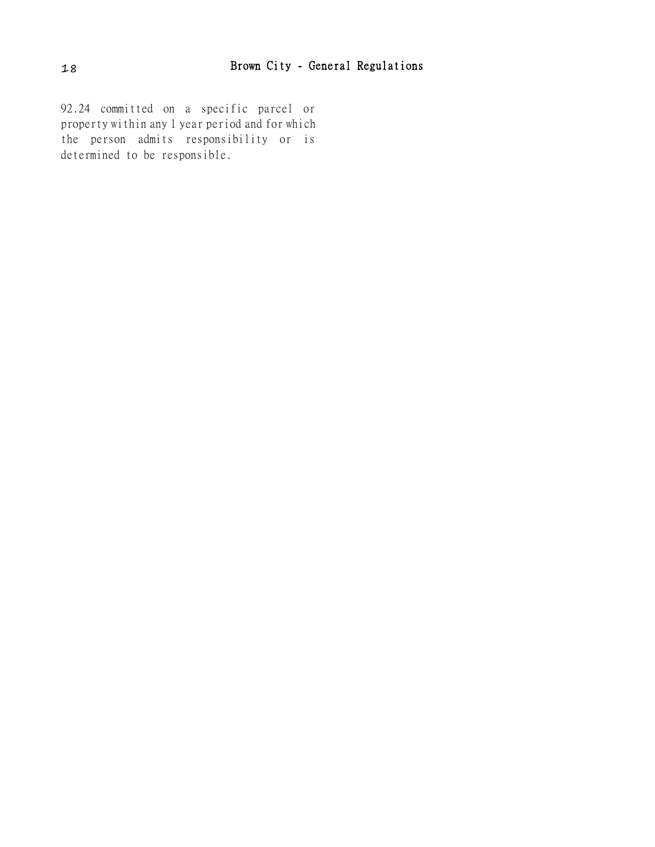92.24 committed on a specific parcel or property within any 1 year period and for which the person admits responsibility or is determined to be responsible.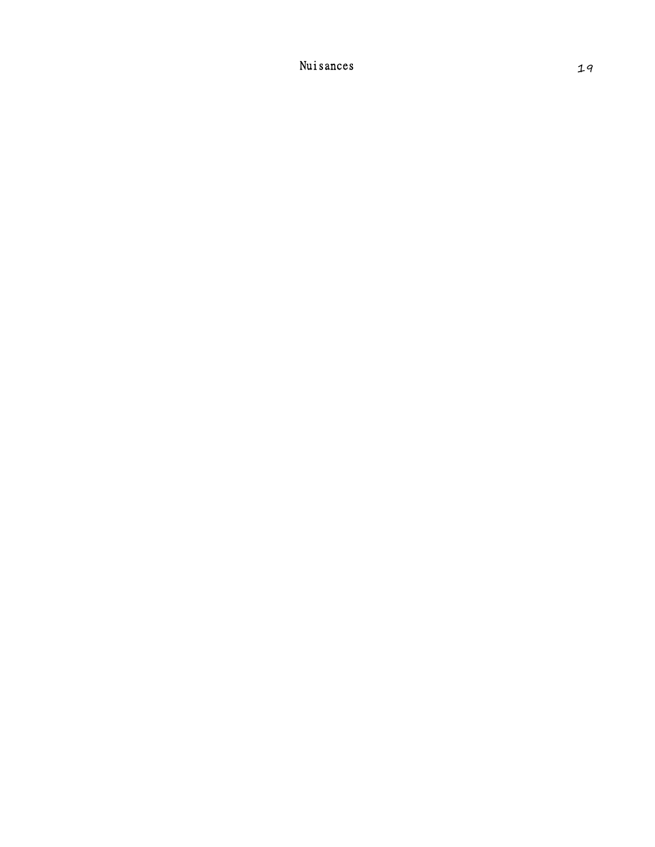Nuisances 19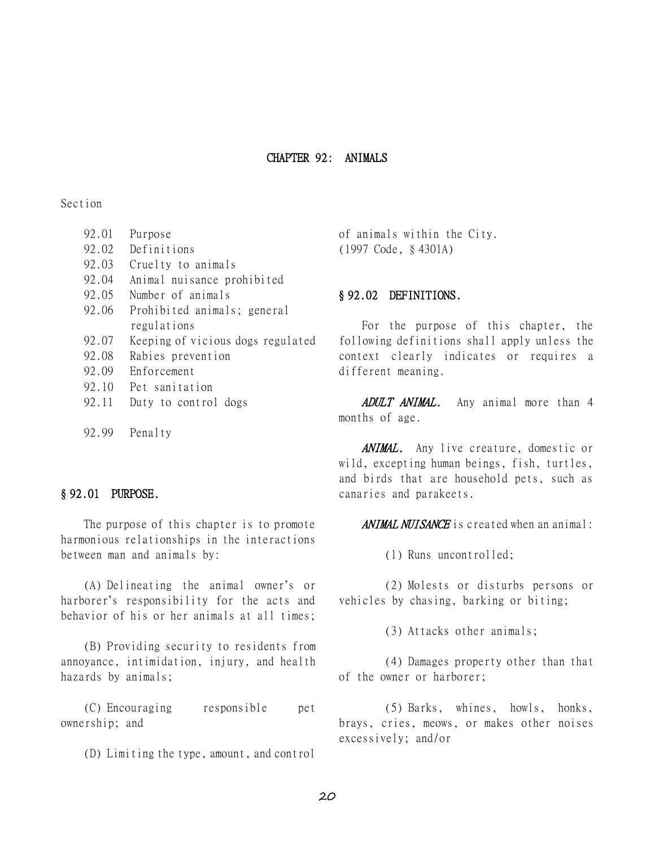CHAPTER 92: ANIMALS

## Section

- 92.01 Purpose
- 92.02 Definitions
- 92.03 Cruelty to animals
- 92.04 Animal nuisance prohibited
- 92.05 Number of animals
- 92.06 Prohibited animals; general regulations
- 92.07 Keeping of vicious dogs regulated
- 92.08 Rabies prevention
- 92.09 Enforcement
- 92.10 Pet sanitation
- 92.11 Duty to control dogs
- 92.99 Penalty

# § 92.01 PURPOSE.

The purpose of this chapter is to promote harmonious relationships in the interactions between man and animals by:

(A) Delineating the animal owner's or harborer's responsibility for the acts and behavior of his or her animals at all times;

(B) Providing security to residents from annoyance, intimidation, injury, and health hazards by animals;

(C) Encouraging responsible pet ownership; and

of animals within the City. (1997 Code, § 4301A)

# § 92.02 DEFINITIONS.

For the purpose of this chapter, the following definitions shall apply unless the context clearly indicates or requires a different meaning.

ADULT ANIMAL. Any animal more than 4 months of age.

ANIMAL. Any live creature, domestic or wild, excepting human beings, fish, turtles, and birds that are household pets, such as canaries and parakeets.

ANIMAL NUISANCE is created when an animal:

(1) Runs uncontrolled;

(2) Molests or disturbs persons or vehicles by chasing, barking or biting;

(3) Attacks other animals;

(4) Damages property other than that of the owner or harborer;

(5) Barks, whines, howls, honks, brays, cries, meows, or makes other noises excessively; and/or

<sup>(</sup>D) Limiting the type, amount, and control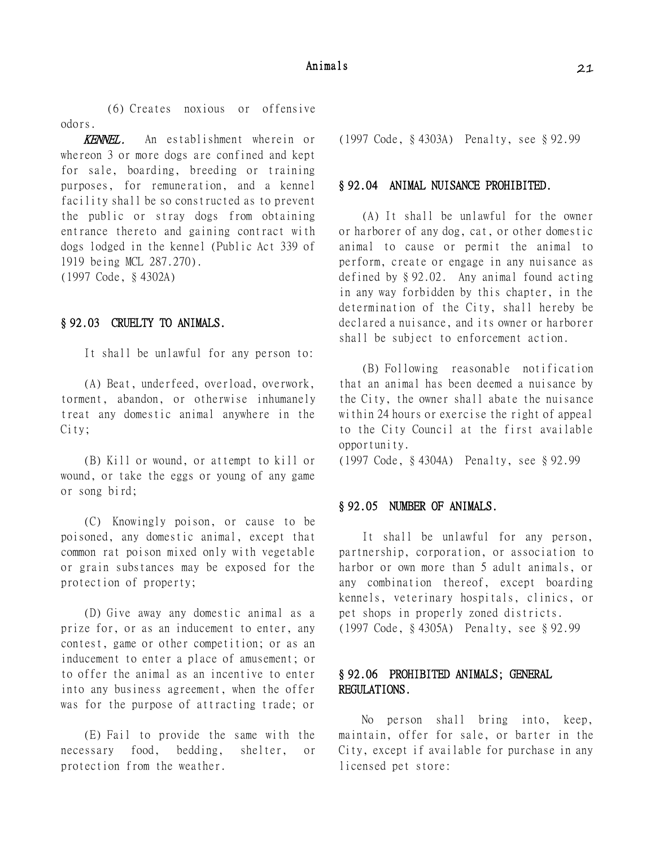(6) Creates noxious or offensive odors.

KENNEL. An establishment wherein or whereon 3 or more dogs are confined and kept for sale, boarding, breeding or training purposes, for remuneration, and a kennel facility shall be so constructed as to prevent the public or stray dogs from obtaining entrance thereto and gaining contract with dogs lodged in the kennel (Public Act 339 of 1919 being MCL 287.270). (1997 Code, § 4302A)

## § 92.03 CRUELTY TO ANIMALS.

It shall be unlawful for any person to:

(A) Beat, underfeed, overload, overwork, torment, abandon, or otherwise inhumanely treat any domestic animal anywhere in the City;

(B) Kill or wound, or attempt to kill or wound, or take the eggs or young of any game or song bird;

(C) Knowingly poison, or cause to be poisoned, any domestic animal, except that common rat poison mixed only with vegetable or grain substances may be exposed for the protection of property;

(D) Give away any domestic animal as a prize for, or as an inducement to enter, any contest, game or other competition; or as an inducement to enter a place of amusement; or to offer the animal as an incentive to enter into any business agreement, when the offer was for the purpose of attracting trade; or

(E) Fail to provide the same with the necessary food, bedding, shelter, or protection from the weather.

(1997 Code, § 4303A) Penalty, see § 92.99

# § 92.04 ANIMAL NUISANCE PROHIBITED.

(A) It shall be unlawful for the owner or harborer of any dog, cat, or other domestic animal to cause or permit the animal to perform, create or engage in any nuisance as defined by § 92.02. Any animal found acting in any way forbidden by this chapter, in the determination of the City, shall hereby be declared a nuisance, and its owner or harborer shall be subject to enforcement action.

(B) Following reasonable notification that an animal has been deemed a nuisance by the City, the owner shall abate the nuisance within 24 hours or exercise the right of appeal to the City Council at the first available opportunity.

(1997 Code, § 4304A) Penalty, see § 92.99

#### § 92.05 NUMBER OF ANIMALS.

It shall be unlawful for any person, partnership, corporation, or association to harbor or own more than 5 adult animals, or any combination thereof, except boarding kennels, veterinary hospitals, clinics, or pet shops in properly zoned districts. (1997 Code, § 4305A) Penalty, see § 92.99

# § 92.06 PROHIBITED ANIMALS; GENERAL REGULATIONS.

No person shall bring into, keep, maintain, offer for sale, or barter in the City, except if available for purchase in any licensed pet store: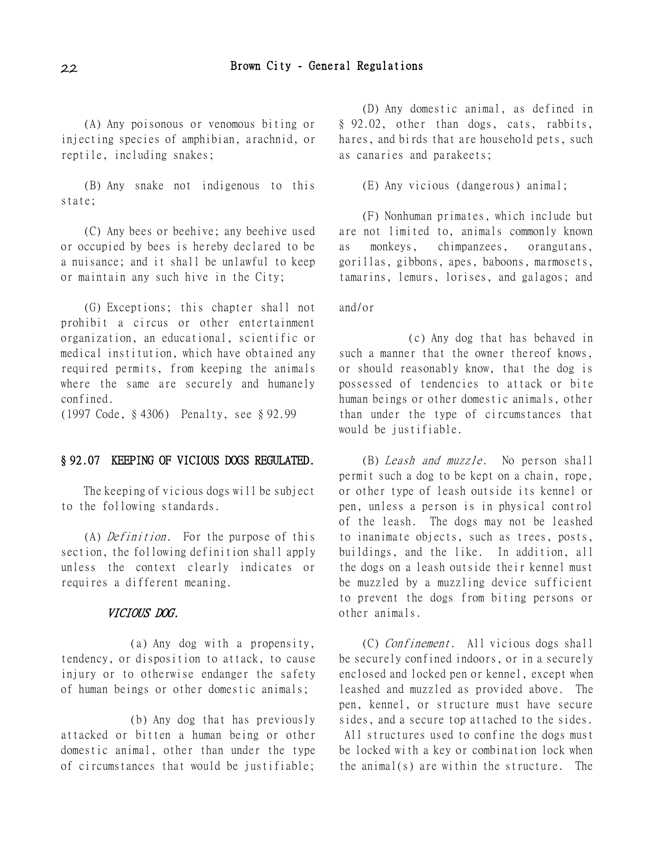(A) Any poisonous or venomous biting or injecting species of amphibian, arachnid, or reptile, including snakes;

(B) Any snake not indigenous to this state;

(C) Any bees or beehive; any beehive used or occupied by bees is hereby declared to be a nuisance; and it shall be unlawful to keep or maintain any such hive in the City;

(G) Exceptions; this chapter shall not prohibit a circus or other entertainment organization, an educational, scientific or medical institution, which have obtained any required permits, from keeping the animals where the same are securely and humanely confined.

(1997 Code, § 4306) Penalty, see § 92.99

#### § 92.07 KEEPING OF VICIOUS DOGS REGULATED.

The keeping of vicious dogs will be subject to the following standards.

(A) Definition. For the purpose of this section, the following definition shall apply unless the context clearly indicates or requires a different meaning.

#### VICIOUS DOG.

(a) Any dog with a propensity, tendency, or disposition to attack, to cause injury or to otherwise endanger the safety of human beings or other domestic animals;

(b) Any dog that has previously attacked or bitten a human being or other domestic animal, other than under the type of circumstances that would be justifiable;

(D) Any domestic animal, as defined in § 92.02, other than dogs, cats, rabbits, hares, and birds that are household pets, such as canaries and parakeets;

(E) Any vicious (dangerous) animal;

(F) Nonhuman primates, which include but are not limited to, animals commonly known as monkeys, chimpanzees, orangutans, gorillas, gibbons, apes, baboons, marmosets, tamarins, lemurs, lorises, and galagos; and

and/or

(c) Any dog that has behaved in such a manner that the owner thereof knows, or should reasonably know, that the dog is possessed of tendencies to attack or bite human beings or other domestic animals, other than under the type of circumstances that would be justifiable.

(B) Leash and muzzle. No person shall permit such a dog to be kept on a chain, rope, or other type of leash outside its kennel or pen, unless a person is in physical control of the leash. The dogs may not be leashed to inanimate objects, such as trees, posts, buildings, and the like. In addition, all the dogs on a leash outside their kennel must be muzzled by a muzzling device sufficient to prevent the dogs from biting persons or other animals.

(C) Confinement. All vicious dogs shall be securely confined indoors, or in a securely enclosed and locked pen or kennel, except when leashed and muzzled as provided above. The pen, kennel, or structure must have secure sides, and a secure top attached to the sides. All structures used to confine the dogs must be locked with a key or combination lock when the animal(s) are within the structure. The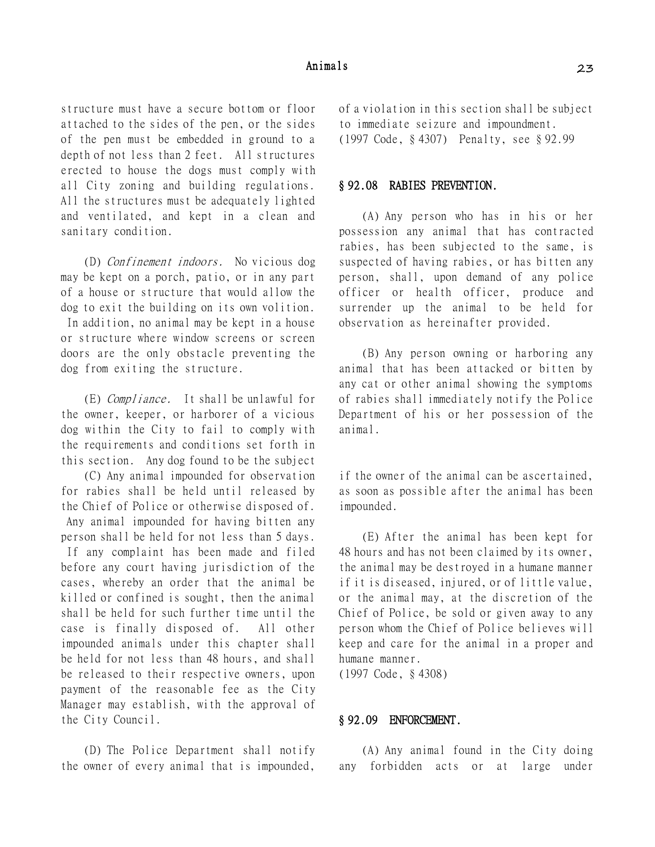structure must have a secure bottom or floor attached to the sides of the pen, or the sides of the pen must be embedded in ground to a depth of not less than 2 feet. All structures erected to house the dogs must comply with all City zoning and building regulations. All the structures must be adequately lighted and ventilated, and kept in a clean and sanitary condition.

(D) Confinement indoors. No vicious dog may be kept on a porch, patio, or in any part of a house or structure that would allow the dog to exit the building on its own volition.

In addition, no animal may be kept in a house or structure where window screens or screen doors are the only obstacle preventing the dog from exiting the structure.

(E) Compliance. It shall be unlawful for the owner, keeper, or harborer of a vicious dog within the City to fail to comply with the requirements and conditions set forth in this section. Any dog found to be the subject

(C) Any animal impounded for observation for rabies shall be held until released by the Chief of Police or otherwise disposed of. Any animal impounded for having bitten any person shall be held for not less than 5 days.

If any complaint has been made and filed before any court having jurisdiction of the cases, whereby an order that the animal be killed or confined is sought, then the animal shall be held for such further time until the case is finally disposed of. All other impounded animals under this chapter shall be held for not less than 48 hours, and shall be released to their respective owners, upon payment of the reasonable fee as the City Manager may establish, with the approval of the City Council.

(D) The Police Department shall notify the owner of every animal that is impounded,

of a violation in this section shall be subject to immediate seizure and impoundment. (1997 Code, § 4307) Penalty, see § 92.99

# § 92.08 RABIES PREVENTION.

(A) Any person who has in his or her possession any animal that has contracted rabies, has been subjected to the same, is suspected of having rabies, or has bitten any person, shall, upon demand of any police officer or health officer, produce and surrender up the animal to be held for observation as hereinafter provided.

(B) Any person owning or harboring any animal that has been attacked or bitten by any cat or other animal showing the symptoms of rabies shall immediately notify the Police Department of his or her possession of the animal.

if the owner of the animal can be ascertained, as soon as possible after the animal has been impounded.

(E) After the animal has been kept for 48 hours and has not been claimed by its owner, the animal may be destroyed in a humane manner if it is diseased, injured, or of little value, or the animal may, at the discretion of the Chief of Police, be sold or given away to any person whom the Chief of Police believes will keep and care for the animal in a proper and humane manner.

(1997 Code, § 4308)

#### § 92.09 ENFORCEMENT.

(A) Any animal found in the City doing any forbidden acts or at large under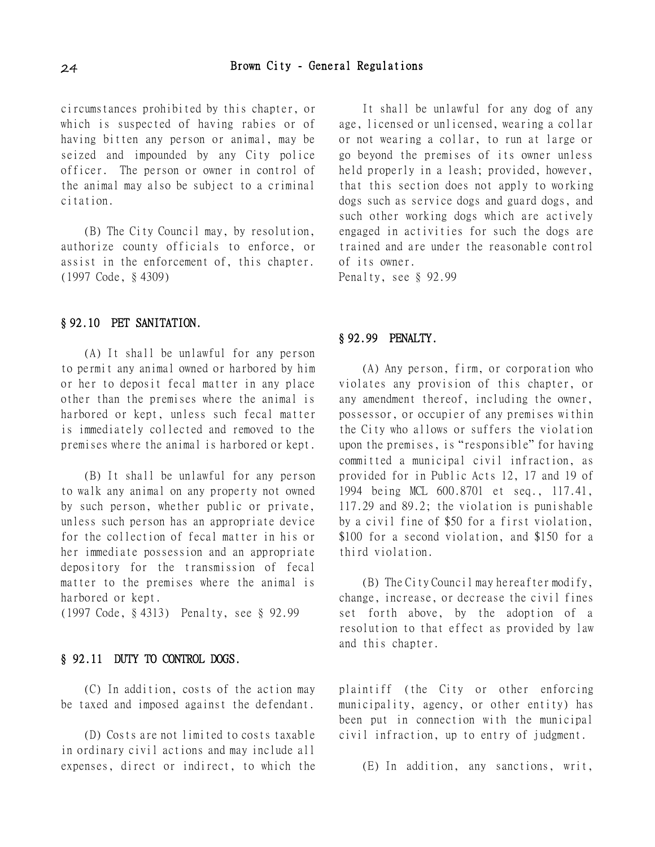circumstances prohibited by this chapter, or which is suspected of having rabies or of having bitten any person or animal, may be seized and impounded by any City police officer. The person or owner in control of the animal may also be subject to a criminal citation.

(B) The City Council may, by resolution, authorize county officials to enforce, or assist in the enforcement of, this chapter. (1997 Code, § 4309)

# § 92.10 PET SANITATION.

(A) It shall be unlawful for any person to permit any animal owned or harbored by him or her to deposit fecal matter in any place other than the premises where the animal is harbored or kept, unless such fecal matter is immediately collected and removed to the premises where the animal is harbored or kept.

(B) It shall be unlawful for any person to walk any animal on any property not owned by such person, whether public or private, unless such person has an appropriate device for the collection of fecal matter in his or her immediate possession and an appropriate depository for the transmission of fecal matter to the premises where the animal is harbored or kept.

(1997 Code, § 4313) Penalty, see § 92.99

# § 92.11 DUTY TO CONTROL DOGS.

(C) In addition, costs of the action may be taxed and imposed against the defendant.

(D) Costs are not limited to costs taxable in ordinary civil actions and may include all expenses, direct or indirect, to which the

It shall be unlawful for any dog of any age, licensed or unlicensed, wearing a collar or not wearing a collar, to run at large or go beyond the premises of its owner unless held properly in a leash; provided, however, that this section does not apply to working dogs such as service dogs and guard dogs, and such other working dogs which are actively engaged in activities for such the dogs are trained and are under the reasonable control of its owner.

Penalty, see § 92.99

## § 92.99 PENALTY.

(A) Any person, firm, or corporation who violates any provision of this chapter, or any amendment thereof, including the owner, possessor, or occupier of any premises within the City who allows or suffers the violation upon the premises, is "responsible" for having committed a municipal civil infraction, as provided for in Public Acts 12, 17 and 19 of 1994 being MCL 600.8701 et seq., 117.41, 117.29 and 89.2; the violation is punishable by a civil fine of \$50 for a first violation, \$100 for a second violation, and \$150 for a third violation.

(B) The City Council may hereafter modify, change, increase, or decrease the civil fines set forth above, by the adoption of a resolution to that effect as provided by law and this chapter.

plaintiff (the City or other enforcing municipality, agency, or other entity) has been put in connection with the municipal civil infraction, up to entry of judgment.

(E) In addition, any sanctions, writ,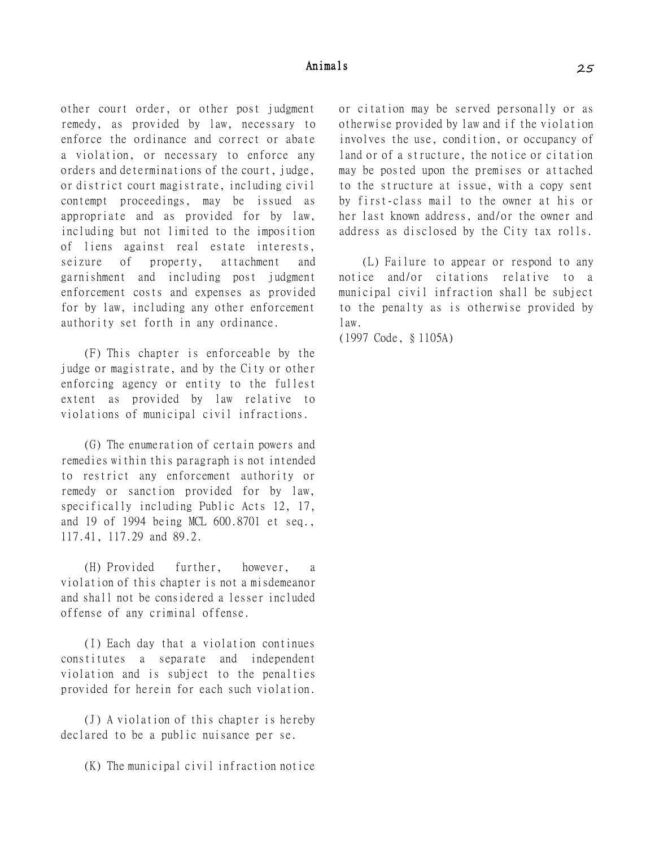other court order, or other post judgment remedy, as provided by law, necessary to enforce the ordinance and correct or abate a violation, or necessary to enforce any orders and determinations of the court, judge, or district court magistrate, including civil contempt proceedings, may be issued as appropriate and as provided for by law, including but not limited to the imposition of liens against real estate interests, seizure of property, attachment and garnishment and including post judgment enforcement costs and expenses as provided for by law, including any other enforcement authority set forth in any ordinance.

(F) This chapter is enforceable by the judge or magistrate, and by the City or other enforcing agency or entity to the fullest extent as provided by law relative to violations of municipal civil infractions.

(G) The enumeration of certain powers and remedies within this paragraph is not intended to restrict any enforcement authority or remedy or sanction provided for by law, specifically including Public Acts 12, 17, and 19 of 1994 being MCL 600.8701 et seq., 117.41, 117.29 and 89.2.

(H) Provided further, however, a violation of this chapter is not a misdemeanor and shall not be considered a lesser included offense of any criminal offense.

(I) Each day that a violation continues constitutes a separate and independent violation and is subject to the penalties provided for herein for each such violation.

(J) A violation of this chapter is hereby declared to be a public nuisance per se.

(K) The municipal civil infraction notice

or citation may be served personally or as otherwise provided by law and if the violation involves the use, condition, or occupancy of land or of a structure, the notice or citation may be posted upon the premises or attached to the structure at issue, with a copy sent by first-class mail to the owner at his or her last known address, and/or the owner and address as disclosed by the City tax rolls.

(L) Failure to appear or respond to any notice and/or citations relative to a municipal civil infraction shall be subject to the penalty as is otherwise provided by law.

(1997 Code, § 1105A)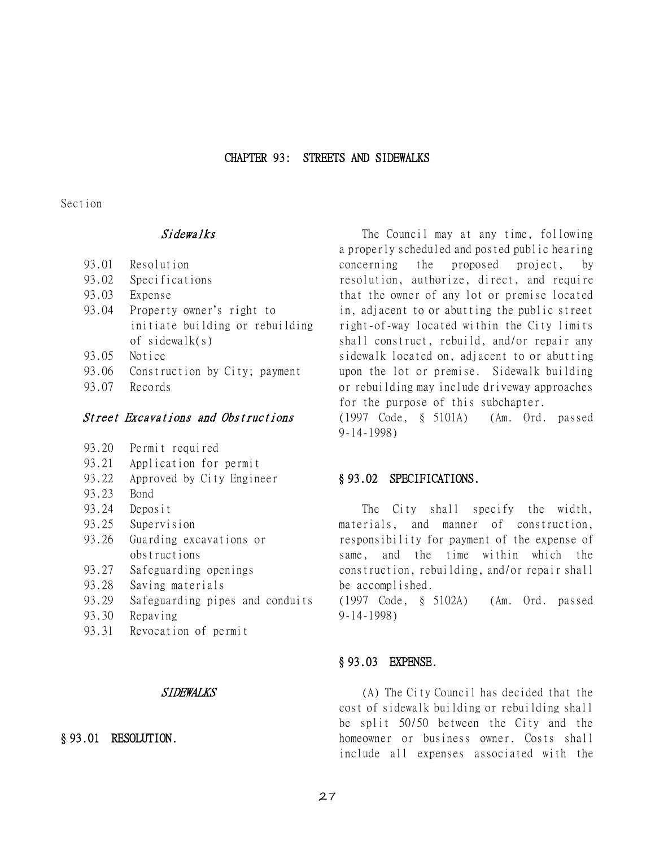## CHAPTER 93: STREETS AND SIDEWALKS

Section

## Sidewalks

- 93.01 Resolution
- 93.02 Specifications
- 93.03 Expense
- 93.04 Property owner's right to initiate building or rebuilding of sidewalk(s)
- 93.05 Notice
- 93.06 Construction by City; payment
- 93.07 Records

# Street Excavations and Obstructions

| 93.20 | Permit required                 |
|-------|---------------------------------|
| 93.21 | Application for permit          |
| 93.22 | Approved by City Engineer       |
| 93.23 | Bond                            |
| 93.24 | Deposit                         |
| 93.25 | Supervision                     |
| 93.26 | Guarding excavations or         |
|       | obstructions                    |
| 93.27 | Safeguarding openings           |
| 93.28 | Saving materials                |
| 93.29 | Safeguarding pipes and conduits |
| 93.30 | Repaving                        |
|       |                                 |

93.31 Revocation of permit

#### SIDEWALKS

# § 93.01 RESOLUTION.

The Council may at any time, following a properly scheduled and posted public hearing concerning the proposed project, by resolution, authorize, direct, and require that the owner of any lot or premise located in, adjacent to or abutting the public street right-of-way located within the City limits shall construct, rebuild, and/or repair any sidewalk located on, adjacent to or abutting upon the lot or premise. Sidewalk building or rebuilding may include driveway approaches for the purpose of this subchapter.

(1997 Code, § 5101A) (Am. Ord. passed 9-14-1998)

# § 93.02 SPECIFICATIONS.

The City shall specify the width, materials, and manner of construction, responsibility for payment of the expense of same, and the time within which the construction, rebuilding, and/or repair shall be accomplished.

(1997 Code, § 5102A) (Am. Ord. passed 9-14-1998)

#### § 93.03 EXPENSE.

(A) The City Council has decided that the cost of sidewalk building or rebuilding shall be split 50/50 between the City and the homeowner or business owner. Costs shall include all expenses associated with the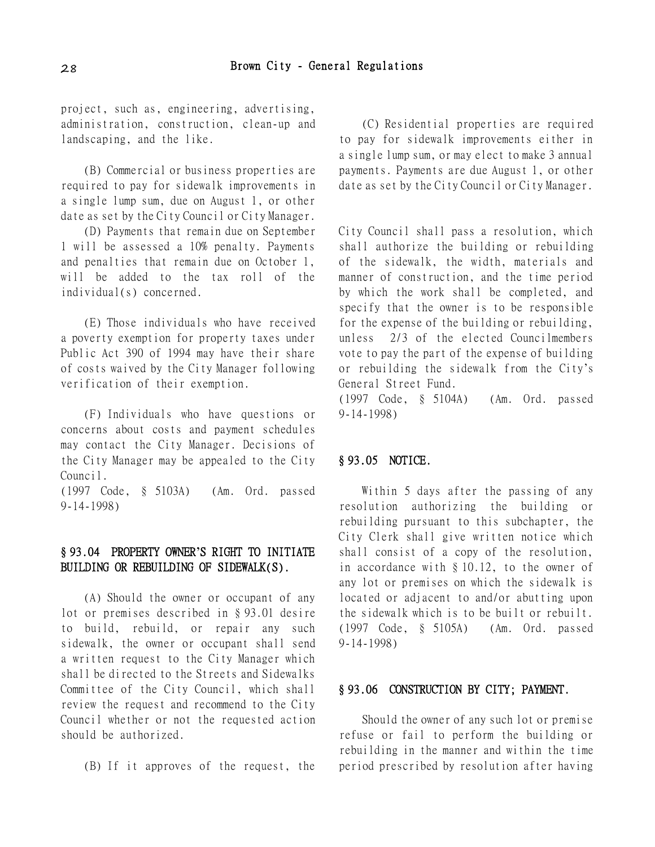project, such as, engineering, advertising, administration, construction, clean-up and landscaping, and the like.

(B) Commercial or business properties are required to pay for sidewalk improvements in a single lump sum, due on August 1, or other date as set by the City Council or City Manager.

(D) Payments that remain due on September 1 will be assessed a 10% penalty. Payments and penalties that remain due on October 1, will be added to the tax roll of the individual(s) concerned.

(E) Those individuals who have received a poverty exemption for property taxes under Public Act 390 of 1994 may have their share of costs waived by the City Manager following verification of their exemption.

(F) Individuals who have questions or concerns about costs and payment schedules may contact the City Manager. Decisions of the City Manager may be appealed to the City Council.

(1997 Code, § 5103A) (Am. Ord. passed 9-14-1998)

# § 93.04 PROPERTY OWNER**'**S RIGHT TO INITIATE BUILDING OR REBUILDING OF SIDEWALK(S).

(A) Should the owner or occupant of any lot or premises described in § 93.01 desire to build, rebuild, or repair any such sidewalk, the owner or occupant shall send a written request to the City Manager which shall be directed to the Streets and Sidewalks Committee of the City Council, which shall review the request and recommend to the City Council whether or not the requested action should be authorized.

(B) If it approves of the request, the

(C) Residential properties are required to pay for sidewalk improvements either in a single lump sum, or may elect to make 3 annual payments. Payments are due August 1, or other date as set by the City Council or City Manager.

City Council shall pass a resolution, which shall authorize the building or rebuilding of the sidewalk, the width, materials and manner of construction, and the time period by which the work shall be completed, and specify that the owner is to be responsible for the expense of the building or rebuilding, unless 2/3 of the elected Councilmembers vote to pay the part of the expense of building or rebuilding the sidewalk from the City's General Street Fund.

(1997 Code, § 5104A) (Am. Ord. passed 9-14-1998)

# § 93.05 NOTICE.

Within 5 days after the passing of any resolution authorizing the building or rebuilding pursuant to this subchapter, the City Clerk shall give written notice which shall consist of a copy of the resolution, in accordance with § 10.12, to the owner of any lot or premises on which the sidewalk is located or adjacent to and/or abutting upon the sidewalk which is to be built or rebuilt. (1997 Code, § 5105A) (Am. Ord. passed 9-14-1998)

#### § 93.06 CONSTRUCTION BY CITY; PAYMENT.

Should the owner of any such lot or premise refuse or fail to perform the building or rebuilding in the manner and within the time period prescribed by resolution after having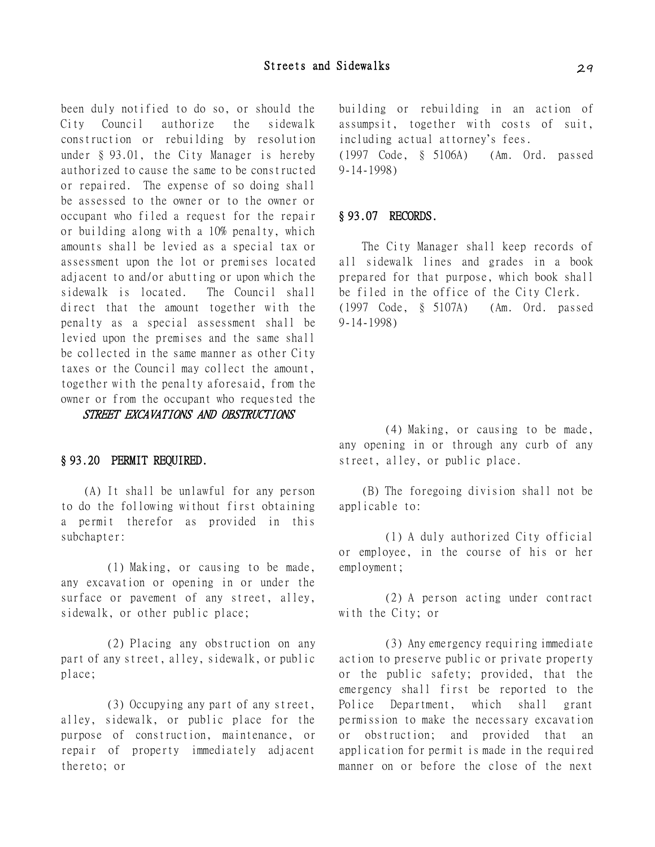been duly notified to do so, or should the City Council authorize the sidewalk construction or rebuilding by resolution under § 93.01, the City Manager is hereby authorized to cause the same to be constructed or repaired. The expense of so doing shall be assessed to the owner or to the owner or occupant who filed a request for the repair or building along with a 10% penalty, which amounts shall be levied as a special tax or assessment upon the lot or premises located adjacent to and/or abutting or upon which the sidewalk is located. The Council shall direct that the amount together with the penalty as a special assessment shall be levied upon the premises and the same shall be collected in the same manner as other City taxes or the Council may collect the amount, together with the penalty aforesaid, from the owner or from the occupant who requested the

# STREET EXCAVATIONS AND OBSTRUCTIONS

#### § 93.20 PERMIT REQUIRED.

(A) It shall be unlawful for any person to do the following without first obtaining a permit therefor as provided in this subchapter:

(1) Making, or causing to be made, any excavation or opening in or under the surface or pavement of any street, alley, sidewalk, or other public place;

(2) Placing any obstruction on any part of any street, alley, sidewalk, or public place;

(3) Occupying any part of any street, alley, sidewalk, or public place for the purpose of construction, maintenance, or repair of property immediately adjacent thereto; or

building or rebuilding in an action of assumpsit, together with costs of suit, including actual attorney's fees. (1997 Code, § 5106A) (Am. Ord. passed 9-14-1998)

## § 93.07 RECORDS.

The City Manager shall keep records of all sidewalk lines and grades in a book prepared for that purpose, which book shall be filed in the office of the City Clerk. (1997 Code, § 5107A) (Am. Ord. passed 9-14-1998)

(4) Making, or causing to be made, any opening in or through any curb of any street, alley, or public place.

(B) The foregoing division shall not be applicable to:

(1) A duly authorized City official or employee, in the course of his or her employment;

(2) A person acting under contract with the City; or

(3) Any emergency requiring immediate action to preserve public or private property or the public safety; provided, that the emergency shall first be reported to the Police Department, which shall grant permission to make the necessary excavation or obstruction; and provided that an application for permit is made in the required manner on or before the close of the next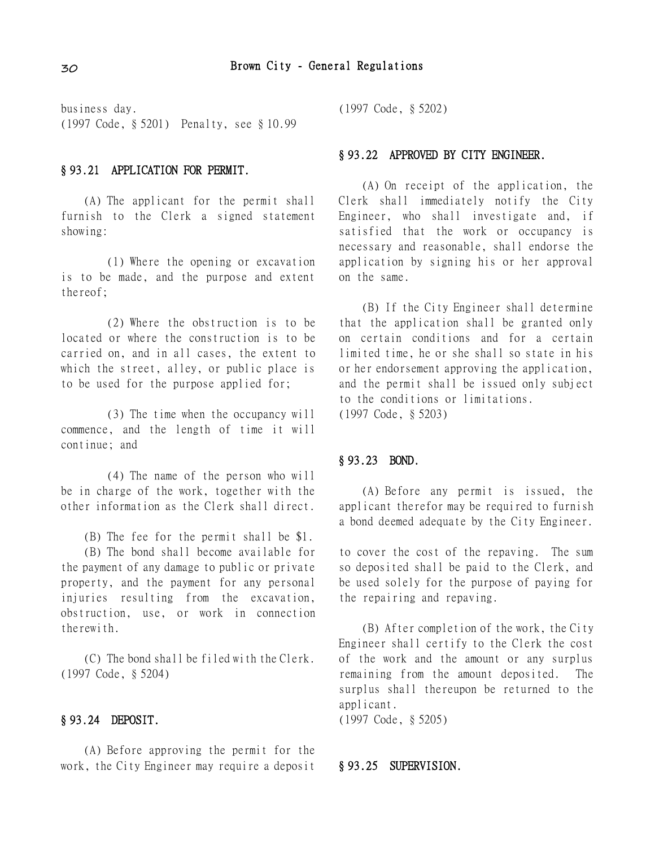business day. (1997 Code, § 5201) Penalty, see § 10.99

# § 93.21 APPLICATION FOR PERMIT.

(A) The applicant for the permit shall furnish to the Clerk a signed statement showing:

(1) Where the opening or excavation is to be made, and the purpose and extent thereof;

(2) Where the obstruction is to be located or where the construction is to be carried on, and in all cases, the extent to which the street, alley, or public place is to be used for the purpose applied for;

(3) The time when the occupancy will commence, and the length of time it will continue; and

(4) The name of the person who will be in charge of the work, together with the other information as the Clerk shall direct.

(B) The fee for the permit shall be \$1. (B) The bond shall become available for the payment of any damage to public or private property, and the payment for any personal injuries resulting from the excavation, obstruction, use, or work in connection therewith.

(C) The bond shall be filed with the Clerk. (1997 Code, § 5204)

# § 93.24 DEPOSIT.

(A) Before approving the permit for the work, the City Engineer may require a deposit (1997 Code, § 5202)

#### § 93.22 APPROVED BY CITY ENGINEER.

(A) On receipt of the application, the Clerk shall immediately notify the City Engineer, who shall investigate and, if satisfied that the work or occupancy is necessary and reasonable, shall endorse the application by signing his or her approval on the same.

(B) If the City Engineer shall determine that the application shall be granted only on certain conditions and for a certain limited time, he or she shall so state in his or her endorsement approving the application, and the permit shall be issued only subject to the conditions or limitations. (1997 Code, § 5203)

# § 93.23 BOND.

(A) Before any permit is issued, the applicant therefor may be required to furnish a bond deemed adequate by the City Engineer.

to cover the cost of the repaving. The sum so deposited shall be paid to the Clerk, and be used solely for the purpose of paying for the repairing and repaving.

(B) After completion of the work, the City Engineer shall certify to the Clerk the cost of the work and the amount or any surplus remaining from the amount deposited. The surplus shall thereupon be returned to the applicant.

(1997 Code, § 5205)

#### § 93.25 SUPERVISION.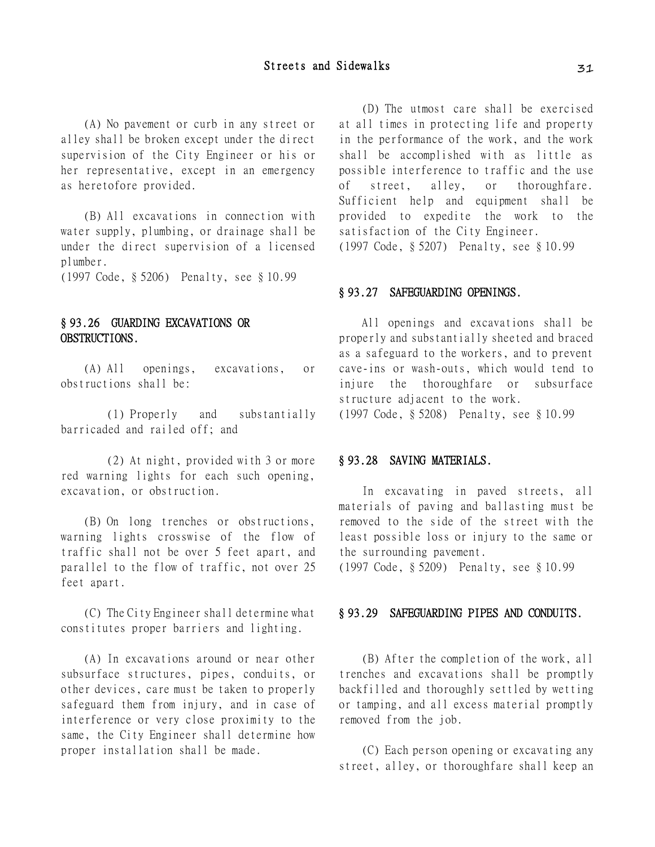(A) No pavement or curb in any street or alley shall be broken except under the direct supervision of the City Engineer or his or her representative, except in an emergency as heretofore provided.

(B) All excavations in connection with water supply, plumbing, or drainage shall be under the direct supervision of a licensed plumber.

(1997 Code, § 5206) Penalty, see § 10.99

# § 93.26 GUARDING EXCAVATIONS OR OBSTRUCTIONS.

(A) All openings, excavations, or obstructions shall be:

(1) Properly and substantially barricaded and railed off; and

(2) At night, provided with 3 or more red warning lights for each such opening, excavation, or obstruction.

(B) On long trenches or obstructions, warning lights crosswise of the flow of traffic shall not be over 5 feet apart, and parallel to the flow of traffic, not over 25 feet apart.

(C) The City Engineer shall determine what constitutes proper barriers and lighting.

(A) In excavations around or near other subsurface structures, pipes, conduits, or other devices, care must be taken to properly safeguard them from injury, and in case of interference or very close proximity to the same, the City Engineer shall determine how proper installation shall be made.

(D) The utmost care shall be exercised at all times in protecting life and property in the performance of the work, and the work shall be accomplished with as little as possible interference to traffic and the use of street, alley, or thoroughfare. Sufficient help and equipment shall be provided to expedite the work to the satisfaction of the City Engineer. (1997 Code, § 5207) Penalty, see § 10.99

#### § 93.27 SAFEGUARDING OPENINGS.

All openings and excavations shall be properly and substantially sheeted and braced as a safeguard to the workers, and to prevent cave-ins or wash-outs, which would tend to injure the thoroughfare or subsurface structure adjacent to the work. (1997 Code, § 5208) Penalty, see § 10.99

#### § 93.28 SAVING MATERIALS.

In excavating in paved streets, all materials of paving and ballasting must be removed to the side of the street with the least possible loss or injury to the same or the surrounding pavement.

(1997 Code, § 5209) Penalty, see § 10.99

# § 93.29 SAFEGUARDING PIPES AND CONDUITS.

(B) After the completion of the work, all trenches and excavations shall be promptly backfilled and thoroughly settled by wetting or tamping, and all excess material promptly removed from the job.

(C) Each person opening or excavating any street, alley, or thoroughfare shall keep an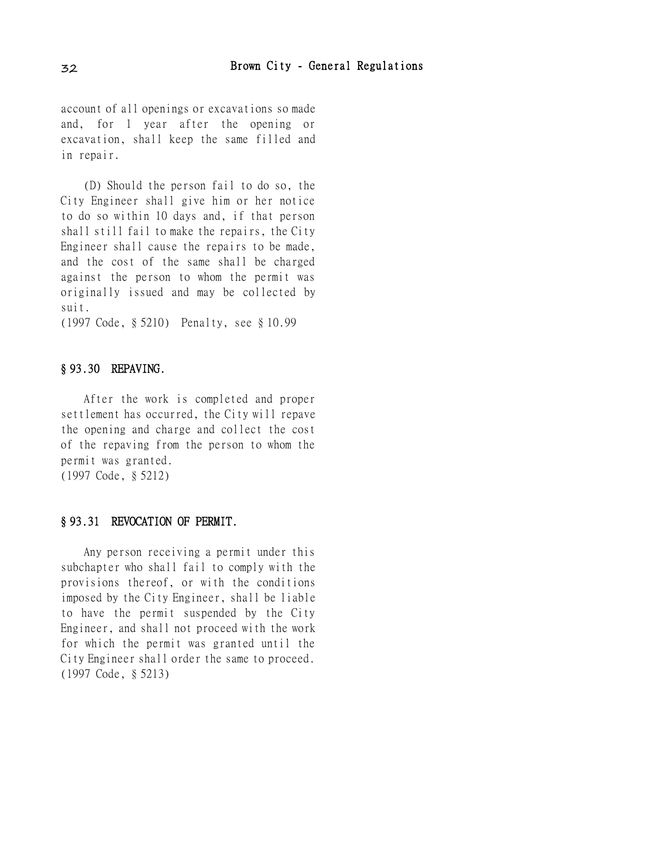account of all openings or excavations so made and, for 1 year after the opening or excavation, shall keep the same filled and in repair.

(D) Should the person fail to do so, the City Engineer shall give him or her notice to do so within 10 days and, if that person shall still fail to make the repairs, the City Engineer shall cause the repairs to be made, and the cost of the same shall be charged against the person to whom the permit was originally issued and may be collected by suit.

(1997 Code, § 5210) Penalty, see § 10.99

## § 93.30 REPAVING.

After the work is completed and proper settlement has occurred, the City will repave the opening and charge and collect the cost of the repaving from the person to whom the permit was granted. (1997 Code, § 5212)

# § 93.31 REVOCATION OF PERMIT.

Any person receiving a permit under this subchapter who shall fail to comply with the provisions thereof, or with the conditions imposed by the City Engineer, shall be liable to have the permit suspended by the City Engineer, and shall not proceed with the work for which the permit was granted until the City Engineer shall order the same to proceed. (1997 Code, § 5213)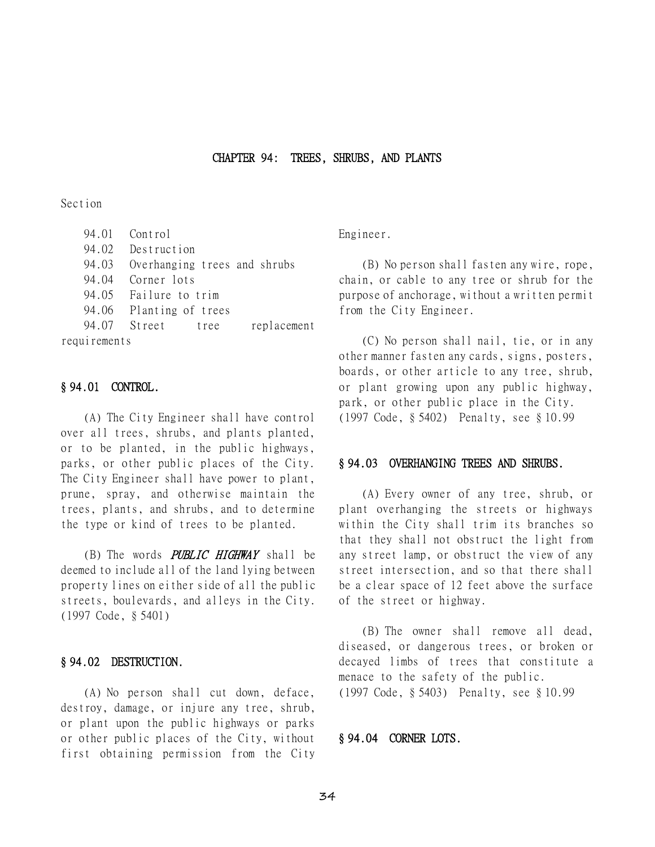# CHAPTER 94: TREES, SHRUBS, AND PLANTS

Section

94.01 Control 94.02 Destruction 94.03 Overhanging trees and shrubs 94.04 Corner lots 94.05 Failure to trim 94.06 Planting of trees 94.07 Street tree replacement requirements

#### § 94.01 CONTROL.

(A) The City Engineer shall have control over all trees, shrubs, and plants planted, or to be planted, in the public highways, parks, or other public places of the City. The City Engineer shall have power to plant, prune, spray, and otherwise maintain the trees, plants, and shrubs, and to determine the type or kind of trees to be planted.

(B) The words **PUBLIC HIGHWAY** shall be deemed to include all of the land lying between property lines on either side of all the public streets, boulevards, and alleys in the City. (1997 Code, § 5401)

## § 94.02 DESTRUCTION.

(A) No person shall cut down, deface, destroy, damage, or injure any tree, shrub, or plant upon the public highways or parks or other public places of the City, without first obtaining permission from the City Engineer.

(B) No person shall fasten any wire, rope, chain, or cable to any tree or shrub for the purpose of anchorage, without a written permit from the City Engineer.

(C) No person shall nail, tie, or in any other manner fasten any cards, signs, posters, boards, or other article to any tree, shrub, or plant growing upon any public highway, park, or other public place in the City. (1997 Code, § 5402) Penalty, see § 10.99

#### § 94.03 OVERHANGING TREES AND SHRUBS.

(A) Every owner of any tree, shrub, or plant overhanging the streets or highways within the City shall trim its branches so that they shall not obstruct the light from any street lamp, or obstruct the view of any street intersection, and so that there shall be a clear space of 12 feet above the surface of the street or highway.

(B) The owner shall remove all dead, diseased, or dangerous trees, or broken or decayed limbs of trees that constitute a menace to the safety of the public. (1997 Code, § 5403) Penalty, see § 10.99

# § 94.04 CORNER LOTS.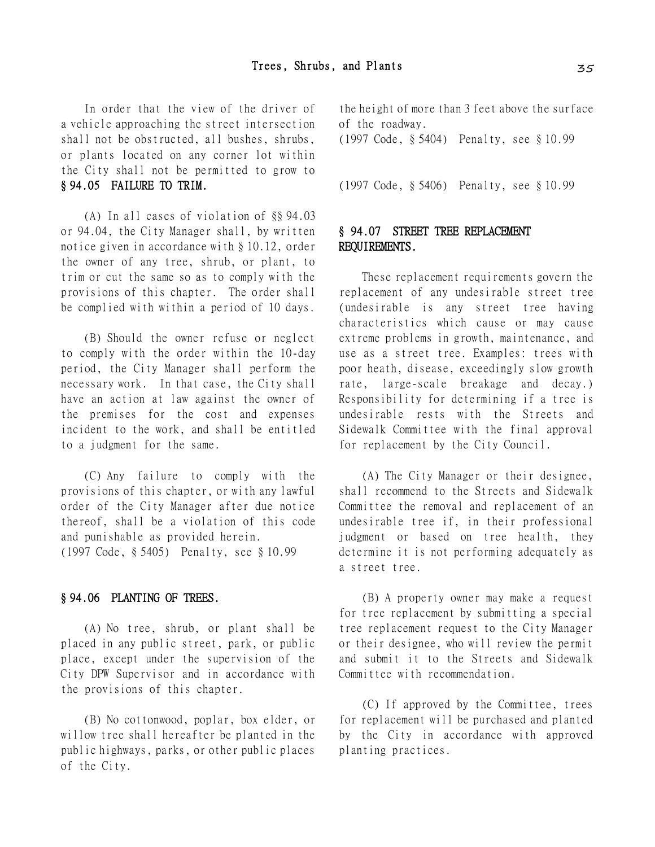In order that the view of the driver of a vehicle approaching the street intersection shall not be obstructed, all bushes, shrubs, or plants located on any corner lot within the City shall not be permitted to grow to § 94.05 FAILURE TO TRIM.

(A) In all cases of violation of §§ 94.03 or 94.04, the City Manager shall, by written notice given in accordance with § 10.12, order the owner of any tree, shrub, or plant, to trim or cut the same so as to comply with the provisions of this chapter. The order shall be complied with within a period of 10 days.

(B) Should the owner refuse or neglect to comply with the order within the 10-day period, the City Manager shall perform the necessary work. In that case, the City shall have an action at law against the owner of the premises for the cost and expenses incident to the work, and shall be entitled to a judgment for the same.

(C) Any failure to comply with the provisions of this chapter, or with any lawful order of the City Manager after due notice thereof, shall be a violation of this code and punishable as provided herein. (1997 Code, § 5405) Penalty, see § 10.99

# § 94.06 PLANTING OF TREES.

(A) No tree, shrub, or plant shall be placed in any public street, park, or public place, except under the supervision of the City DPW Supervisor and in accordance with the provisions of this chapter.

(B) No cottonwood, poplar, box elder, or willow tree shall hereafter be planted in the public highways, parks, or other public places of the City.

the height of more than 3 feet above the surface of the roadway.

(1997 Code, § 5404) Penalty, see § 10.99

(1997 Code, § 5406) Penalty, see § 10.99

# § 94.07 STREET TREE REPLACEMENT REQUIREMENTS.

These replacement requirements govern the replacement of any undesirable street tree (undesirable is any street tree having characteristics which cause or may cause extreme problems in growth, maintenance, and use as a street tree. Examples: trees with poor heath, disease, exceedingly slow growth rate, large-scale breakage and decay.) Responsibility for determining if a tree is undesirable rests with the Streets and Sidewalk Committee with the final approval for replacement by the City Council.

(A) The City Manager or their designee, shall recommend to the Streets and Sidewalk Committee the removal and replacement of an undesirable tree if, in their professional judgment or based on tree health, they determine it is not performing adequately as a street tree.

(B) A property owner may make a request for tree replacement by submitting a special tree replacement request to the City Manager or their designee, who will review the permit and submit it to the Streets and Sidewalk Committee with recommendation.

(C) If approved by the Committee, trees for replacement will be purchased and planted by the City in accordance with approved planting practices.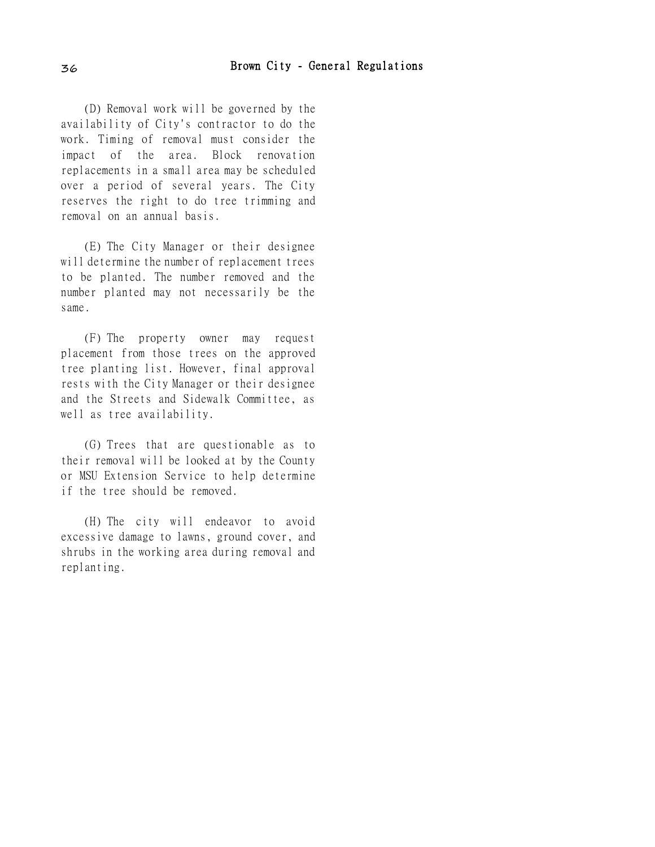(D) Removal work will be governed by the availability of City's contractor to do the work. Timing of removal must consider the impact of the area. Block renovation replacements in a small area may be scheduled over a period of several years. The City reserves the right to do tree trimming and removal on an annual basis.

(E) The City Manager or their designee will determine the number of replacement trees to be planted. The number removed and the number planted may not necessarily be the same.

(F) The property owner may request placement from those trees on the approved tree planting list. However, final approval rests with the City Manager or their designee and the Streets and Sidewalk Committee, as well as tree availability.

(G) Trees that are questionable as to their removal will be looked at by the County or MSU Extension Service to help determine if the tree should be removed.

(H) The city will endeavor to avoid excessive damage to lawns, ground cover, and shrubs in the working area during removal and replanting.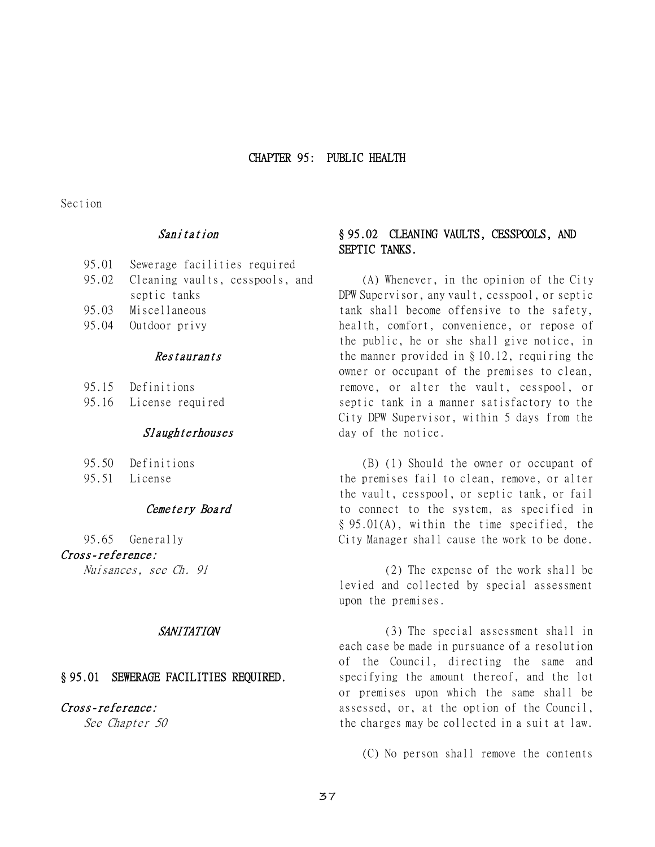# CHAPTER 95: PUBLIC HEALTH

Section

# Sanitation

- 95.01 Sewerage facilities required
- 95.02 Cleaning vaults, cesspools, and septic tanks 95.03 Miscellaneous
- 95.04 Outdoor privy

#### Restaurants

- 95.15 Definitions
- 95.16 License required

#### Slaughterhouses

95.51 License

# Cemetery Board

95.65 Generally

# Cross-reference:

Nuisances, see Ch. 91

#### SANITATION

## § 95.01 SEWERAGE FACILITIES REQUIRED.

# Cross-reference:

See Chapter 50

# § 95.02 CLEANING VAULTS, CESSPOOLS, AND SEPTIC TANKS.

(A) Whenever, in the opinion of the City DPW Supervisor, any vault, cesspool, or septic tank shall become offensive to the safety, health, comfort, convenience, or repose of the public, he or she shall give notice, in the manner provided in § 10.12, requiring the owner or occupant of the premises to clean, remove, or alter the vault, cesspool, or septic tank in a manner satisfactory to the City DPW Supervisor, within 5 days from the day of the notice.

(B) (1) Should the owner or occupant of the premises fail to clean, remove, or alter the vault, cesspool, or septic tank, or fail to connect to the system, as specified in § 95.01(A), within the time specified, the City Manager shall cause the work to be done.

(2) The expense of the work shall be levied and collected by special assessment upon the premises.

(3) The special assessment shall in each case be made in pursuance of a resolution of the Council, directing the same and specifying the amount thereof, and the lot or premises upon which the same shall be assessed, or, at the option of the Council, the charges may be collected in a suit at law.

(C) No person shall remove the contents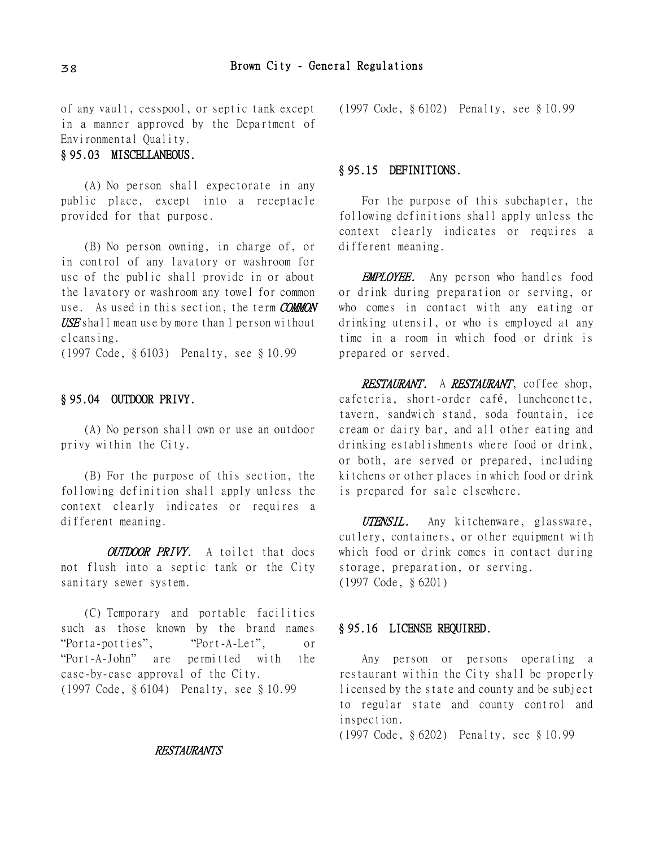of any vault, cesspool, or septic tank except in a manner approved by the Department of Environmental Quality.

# § 95.03 MISCELLANEOUS.

(A) No person shall expectorate in any public place, except into a receptacle provided for that purpose.

(B) No person owning, in charge of, or in control of any lavatory or washroom for use of the public shall provide in or about the lavatory or washroom any towel for common use. As used in this section, the term COMMON USE shall mean use by more than  $1$  person without cleansing.

(1997 Code, § 6103) Penalty, see § 10.99

# § 95.04 OUTDOOR PRIVY.

(A) No person shall own or use an outdoor privy within the City.

(B) For the purpose of this section, the following definition shall apply unless the context clearly indicates or requires a different meaning.

**OUTDOOR PRIVY.** A toilet that does not flush into a septic tank or the City sanitary sewer system.

(C) Temporary and portable facilities such as those known by the brand names "Porta-potties", "Port-A-Let", or "Port-A-John" are permitted with the case-by-case approval of the City. (1997 Code, § 6104) Penalty, see § 10.99

#### RESTAURANTS

(1997 Code, § 6102) Penalty, see § 10.99

## § 95.15 DEFINITIONS.

For the purpose of this subchapter, the following definitions shall apply unless the context clearly indicates or requires a different meaning.

**EMPLOYEE.** Any person who handles food or drink during preparation or serving, or who comes in contact with any eating or drinking utensil, or who is employed at any time in a room in which food or drink is prepared or served.

RESTAURANT. A RESTAURANT, coffee shop, cafeteria, short-order café, luncheonette, tavern, sandwich stand, soda fountain, ice cream or dairy bar, and all other eating and drinking establishments where food or drink, or both, are served or prepared, including kitchens or other places in which food or drink is prepared for sale elsewhere.

UTENSIL. Any kitchenware, glassware, cutlery, containers, or other equipment with which food or drink comes in contact during storage, preparation, or serving. (1997 Code, § 6201)

#### § 95.16 LICENSE REQUIRED.

Any person or persons operating a restaurant within the City shall be properly licensed by the state and county and be subject to regular state and county control and inspection.

(1997 Code, § 6202) Penalty, see § 10.99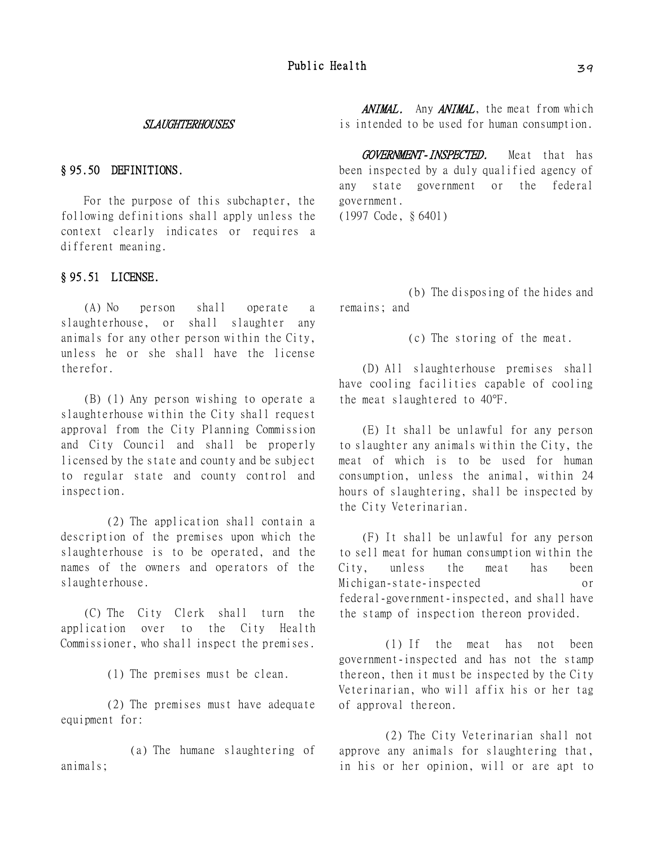#### SLAUGHTERHOUSES

# § 95.50 DEFINITIONS.

For the purpose of this subchapter, the following definitions shall apply unless the context clearly indicates or requires a different meaning.

## § 95.51 LICENSE.

(A) No person shall operate a slaughterhouse, or shall slaughter any animals for any other person within the City, unless he or she shall have the license therefor.

(B) (1) Any person wishing to operate a slaughterhouse within the City shall request approval from the City Planning Commission and City Council and shall be properly licensed by the state and county and be subject to regular state and county control and inspection.

(2) The application shall contain a description of the premises upon which the slaughterhouse is to be operated, and the names of the owners and operators of the slaughterhouse.

(C) The City Clerk shall turn the application over to the City Health Commissioner, who shall inspect the premises.

(1) The premises must be clean.

(2) The premises must have adequate equipment for:

(a) The humane slaughtering of animals;

**ANIMAL.** Any **ANIMAL**, the meat from which is intended to be used for human consumption.

GOVERNMENT-INSPECTED. Meat that has been inspected by a duly qualified agency of any state government or the federal government. (1997 Code, § 6401)

(b) The disposing of the hides and remains; and

(c) The storing of the meat.

(D) All slaughterhouse premises shall have cooling facilities capable of cooling the meat slaughtered to 40F.

(E) It shall be unlawful for any person to slaughter any animals within the City, the meat of which is to be used for human consumption, unless the animal, within 24 hours of slaughtering, shall be inspected by the City Veterinarian.

(F) It shall be unlawful for any person to sell meat for human consumption within the City, unless the meat has been Michigan-state-inspected or federal-government-inspected, and shall have the stamp of inspection thereon provided.

(1) If the meat has not been government-inspected and has not the stamp thereon, then it must be inspected by the City Veterinarian, who will affix his or her tag of approval thereon.

(2) The City Veterinarian shall not approve any animals for slaughtering that, in his or her opinion, will or are apt to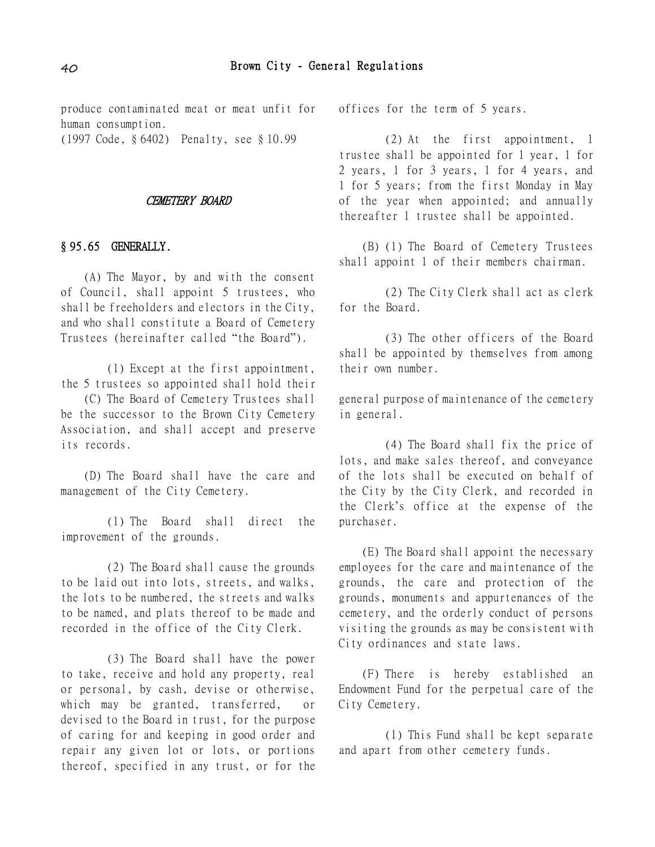produce contaminated meat or meat unfit for human consumption.

(1997 Code, § 6402) Penalty, see § 10.99

#### CEMETERY BOARD

# § 95.65 GENERALLY.

(A) The Mayor, by and with the consent of Council, shall appoint 5 trustees, who shall be freeholders and electors in the City, and who shall constitute a Board of Cemetery Trustees (hereinafter called "the Board").

(1) Except at the first appointment, the 5 trustees so appointed shall hold their

(C) The Board of Cemetery Trustees shall be the successor to the Brown City Cemetery Association, and shall accept and preserve its records.

(D) The Board shall have the care and management of the City Cemetery.

(1) The Board shall direct the improvement of the grounds.

(2) The Board shall cause the grounds to be laid out into lots, streets, and walks, the lots to be numbered, the streets and walks to be named, and plats thereof to be made and recorded in the office of the City Clerk.

(3) The Board shall have the power to take, receive and hold any property, real or personal, by cash, devise or otherwise, which may be granted, transferred, or devised to the Board in trust, for the purpose of caring for and keeping in good order and repair any given lot or lots, or portions thereof, specified in any trust, or for the offices for the term of 5 years.

(2) At the first appointment, 1 trustee shall be appointed for 1 year, 1 for 2 years, 1 for 3 years, 1 for 4 years, and 1 for 5 years; from the first Monday in May of the year when appointed; and annually thereafter 1 trustee shall be appointed.

(B) (1) The Board of Cemetery Trustees shall appoint 1 of their members chairman.

(2) The City Clerk shall act as clerk for the Board.

(3) The other officers of the Board shall be appointed by themselves from among their own number.

general purpose of maintenance of the cemetery in general.

(4) The Board shall fix the price of lots, and make sales thereof, and conveyance of the lots shall be executed on behalf of the City by the City Clerk, and recorded in the Clerk's office at the expense of the purchaser.

(E) The Board shall appoint the necessary employees for the care and maintenance of the grounds, the care and protection of the grounds, monuments and appurtenances of the cemetery, and the orderly conduct of persons visiting the grounds as may be consistent with City ordinances and state laws.

(F) There is hereby established an Endowment Fund for the perpetual care of the City Cemetery.

(1) This Fund shall be kept separate and apart from other cemetery funds.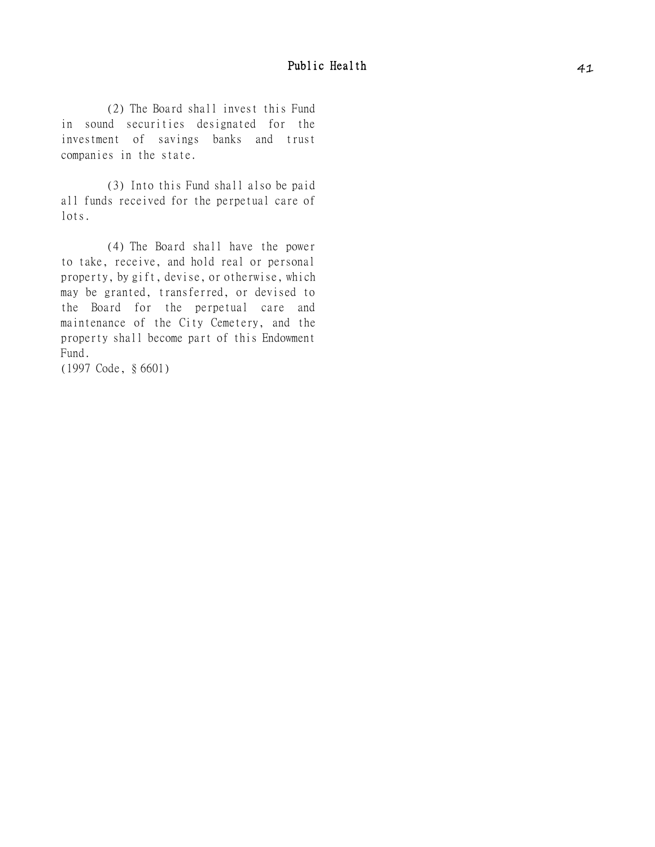(2) The Board shall invest this Fund in sound securities designated for the investment of savings banks and trust companies in the state.

(3) Into this Fund shall also be paid all funds received for the perpetual care of lots.

(4) The Board shall have the power to take, receive, and hold real or personal property, by gift, devise, or otherwise, which may be granted, transferred, or devised to the Board for the perpetual care and maintenance of the City Cemetery, and the property shall become part of this Endowment Fund.

(1997 Code, § 6601)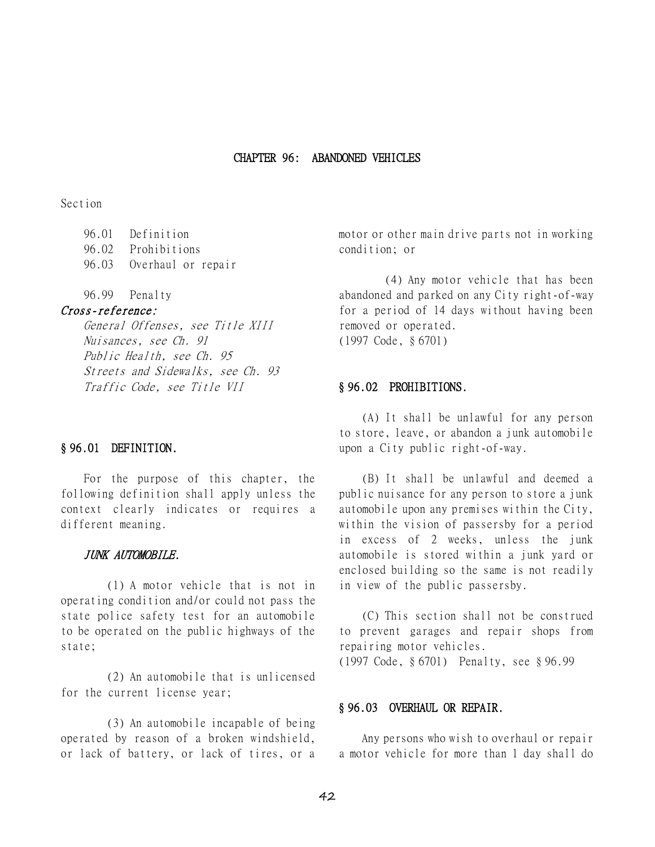#### CHAPTER 96: ABANDONED VEHICLES

Section

96.01 Definition 96.02 Prohibitions 96.03 Overhaul or repair

96.99 Penalty

## Cross-reference:

General Offenses, see Title XIII Nuisances, see Ch. 91 Public Health, see Ch. 95 Streets and Sidewalks, see Ch. 93 Traffic Code, see Title VII

# § 96.01 DEFINITION.

For the purpose of this chapter, the following definition shall apply unless the context clearly indicates or requires a different meaning.

## JUNK AUTOMOBILE.

(1) A motor vehicle that is not in operating condition and/or could not pass the state police safety test for an automobile to be operated on the public highways of the state;

(2) An automobile that is unlicensed for the current license year;

(3) An automobile incapable of being operated by reason of a broken windshield, or lack of battery, or lack of tires, or a motor or other main drive parts not in working condition; or

(4) Any motor vehicle that has been abandoned and parked on any City right-of-way for a period of 14 days without having been removed or operated. (1997 Code, § 6701)

# § 96.02 PROHIBITIONS.

(A) It shall be unlawful for any person to store, leave, or abandon a junk automobile upon a City public right-of-way.

(B) It shall be unlawful and deemed a public nuisance for any person to store a junk automobile upon any premises within the City, within the vision of passersby for a period in excess of 2 weeks, unless the junk automobile is stored within a junk yard or enclosed building so the same is not readily in view of the public passersby.

(C) This section shall not be construed to prevent garages and repair shops from repairing motor vehicles.

(1997 Code, § 6701) Penalty, see § 96.99

## § 96.03 OVERHAUL OR REPAIR.

Any persons who wish to overhaul or repair a motor vehicle for more than 1 day shall do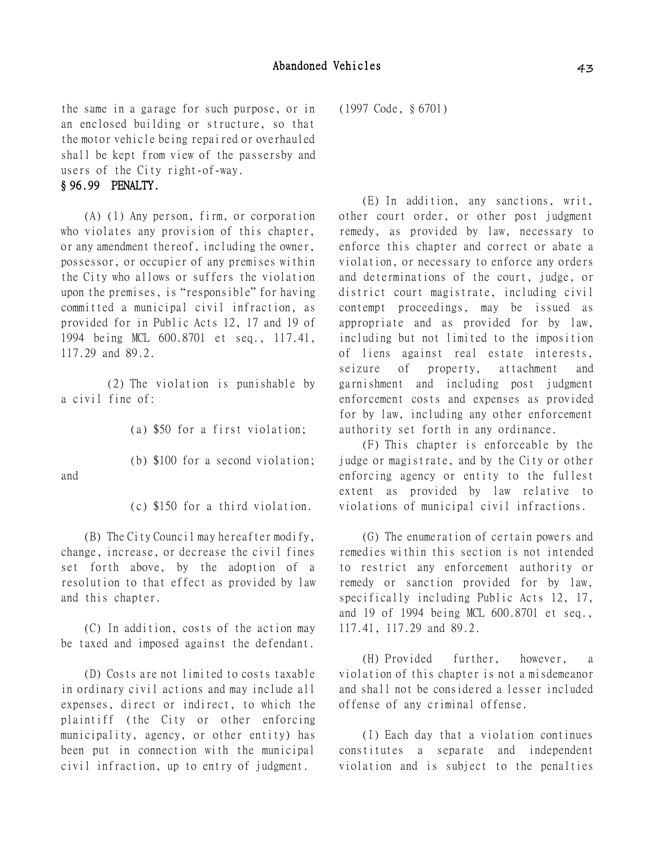the same in a garage for such purpose, or in an enclosed building or structure, so that the motor vehicle being repaired or overhauled shall be kept from view of the passersby and users of the City right-of-way.

# § 96.99 PENALTY.

(A) (1) Any person, firm, or corporation who violates any provision of this chapter, or any amendment thereof, including the owner, possessor, or occupier of any premises within the City who allows or suffers the violation upon the premises, is "responsible" for having committed a municipal civil infraction, as provided for in Public Acts 12, 17 and 19 of 1994 being MCL 600.8701 et seq., 117.41, 117.29 and 89.2.

(2) The violation is punishable by a civil fine of:

(a) \$50 for a first violation;

(b) \$100 for a second violation;

and

(c) \$150 for a third violation.

(B) The City Council may hereafter modify, change, increase, or decrease the civil fines set forth above, by the adoption of a resolution to that effect as provided by law and this chapter.

(C) In addition, costs of the action may be taxed and imposed against the defendant.

(D) Costs are not limited to costs taxable in ordinary civil actions and may include all expenses, direct or indirect, to which the plaintiff (the City or other enforcing municipality, agency, or other entity) has been put in connection with the municipal civil infraction, up to entry of judgment.

(1997 Code, § 6701)

(E) In addition, any sanctions, writ, other court order, or other post judgment remedy, as provided by law, necessary to enforce this chapter and correct or abate a violation, or necessary to enforce any orders and determinations of the court, judge, or district court magistrate, including civil contempt proceedings, may be issued as appropriate and as provided for by law, including but not limited to the imposition of liens against real estate interests, seizure of property, attachment and garnishment and including post judgment enforcement costs and expenses as provided for by law, including any other enforcement authority set forth in any ordinance.

(F) This chapter is enforceable by the judge or magistrate, and by the City or other enforcing agency or entity to the fullest extent as provided by law relative to violations of municipal civil infractions.

(G) The enumeration of certain powers and remedies within this section is not intended to restrict any enforcement authority or remedy or sanction provided for by law, specifically including Public Acts 12, 17, and 19 of 1994 being MCL 600.8701 et seq., 117.41, 117.29 and 89.2.

(H) Provided further, however, a violation of this chapter is not a misdemeanor and shall not be considered a lesser included offense of any criminal offense.

(I) Each day that a violation continues constitutes a separate and independent violation and is subject to the penalties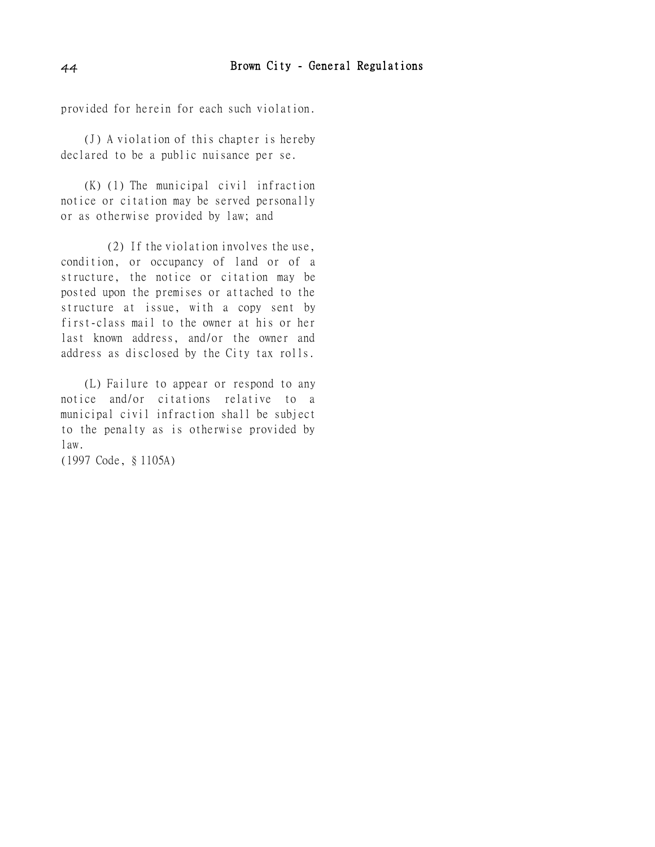provided for herein for each such violation.

(J) A violation of this chapter is hereby declared to be a public nuisance per se.

(K) (1) The municipal civil infraction notice or citation may be served personally or as otherwise provided by law; and

(2) If the violation involves the use, condition, or occupancy of land or of a structure, the notice or citation may be posted upon the premises or attached to the structure at issue, with a copy sent by first-class mail to the owner at his or her last known address, and/or the owner and address as disclosed by the City tax rolls.

(L) Failure to appear or respond to any notice and/or citations relative to a municipal civil infraction shall be subject to the penalty as is otherwise provided by law.

(1997 Code, § 1105A)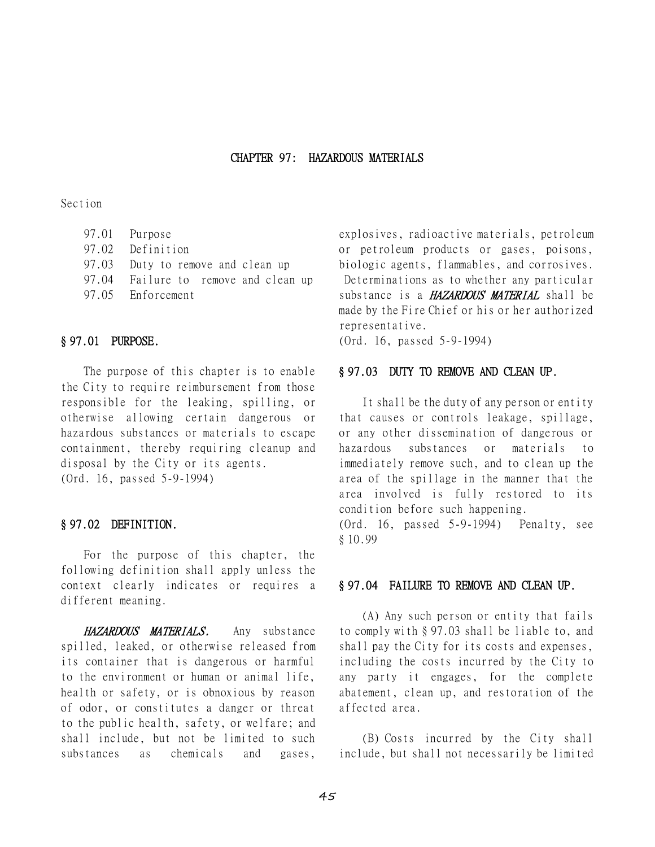#### CHAPTER 97: HAZARDOUS MATERIALS

Section

97.01 Purpose 97.02 Definition 97.03 Duty to remove and clean up 97.04 Failure to remove and clean up 97.05 Enforcement

# § 97.01 PURPOSE.

The purpose of this chapter is to enable the City to require reimbursement from those responsible for the leaking, spilling, or otherwise allowing certain dangerous or hazardous substances or materials to escape containment, thereby requiring cleanup and disposal by the City or its agents. (Ord. 16, passed 5-9-1994)

# § 97.02 DEFINITION.

For the purpose of this chapter, the following definition shall apply unless the context clearly indicates or requires a different meaning.

HAZARDOUS MATERIALS. Any substance spilled, leaked, or otherwise released from its container that is dangerous or harmful to the environment or human or animal life, health or safety, or is obnoxious by reason of odor, or constitutes a danger or threat to the public health, safety, or welfare; and shall include, but not be limited to such substances as chemicals and gases,

explosives, radioactive materials, petroleum or petroleum products or gases, poisons, biologic agents, flammables, and corrosives. Determinations as to whether any particular substance is a **HAZARDOUS MATERIAL** shall be made by the Fire Chief or his or her authorized representative.

(Ord. 16, passed 5-9-1994)

## § 97.03 DUTY TO REMOVE AND CLEAN UP.

It shall be the duty of any person or entity that causes or controls leakage, spillage, or any other dissemination of dangerous or hazardous substances or materials to immediately remove such, and to clean up the area of the spillage in the manner that the area involved is fully restored to its condition before such happening.

(Ord. 16, passed 5-9-1994) Penalty, see § 10.99

## § 97.04 FAILURE TO REMOVE AND CLEAN UP.

(A) Any such person or entity that fails to comply with § 97.03 shall be liable to, and shall pay the City for its costs and expenses, including the costs incurred by the City to any party it engages, for the complete abatement, clean up, and restoration of the affected area.

(B) Costs incurred by the City shall include, but shall not necessarily be limited